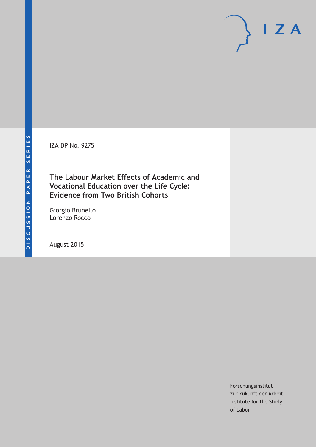IZA DP No. 9275

**The Labour Market Effects of Academic and Vocational Education over the Life Cycle: Evidence from Two British Cohorts**

Giorgio Brunello Lorenzo Rocco

August 2015

Forschungsinstitut zur Zukunft der Arbeit Institute for the Study of Labor

 $I Z A$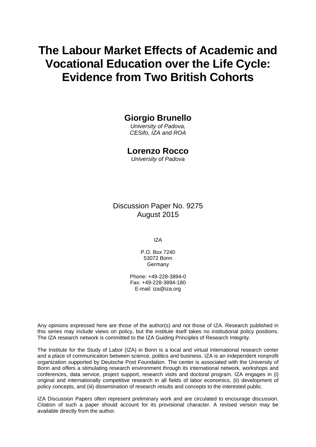# **The Labour Market Effects of Academic and Vocational Education over the Life Cycle: Evidence from Two British Cohorts**

# **Giorgio Brunello**

*University of Padova, CESifo, IZA and ROA* 

### **Lorenzo Rocco**

*University of Padova* 

Discussion Paper No. 9275 August 2015

IZA

P.O. Box 7240 53072 Bonn **Germany** 

Phone: +49-228-3894-0 Fax: +49-228-3894-180 E-mail: iza@iza.org

Any opinions expressed here are those of the author(s) and not those of IZA. Research published in this series may include views on policy, but the institute itself takes no institutional policy positions. The IZA research network is committed to the IZA Guiding Principles of Research Integrity.

The Institute for the Study of Labor (IZA) in Bonn is a local and virtual international research center and a place of communication between science, politics and business. IZA is an independent nonprofit organization supported by Deutsche Post Foundation. The center is associated with the University of Bonn and offers a stimulating research environment through its international network, workshops and conferences, data service, project support, research visits and doctoral program. IZA engages in (i) original and internationally competitive research in all fields of labor economics, (ii) development of policy concepts, and (iii) dissemination of research results and concepts to the interested public.

IZA Discussion Papers often represent preliminary work and are circulated to encourage discussion. Citation of such a paper should account for its provisional character. A revised version may be available directly from the author.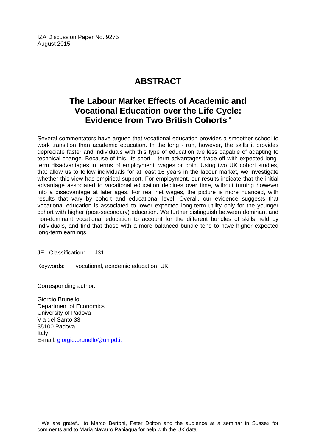IZA Discussion Paper No. 9275 August 2015

# **ABSTRACT**

# **The Labour Market Effects of Academic and Vocational Education over the Life Cycle: Evidence from Two British Cohorts \***

Several commentators have argued that vocational education provides a smoother school to work transition than academic education. In the long - run, however, the skills it provides depreciate faster and individuals with this type of education are less capable of adapting to technical change. Because of this, its short – term advantages trade off with expected longterm disadvantages in terms of employment, wages or both. Using two UK cohort studies, that allow us to follow individuals for at least 16 years in the labour market, we investigate whether this view has empirical support. For employment, our results indicate that the initial advantage associated to vocational education declines over time, without turning however into a disadvantage at later ages. For real net wages, the picture is more nuanced, with results that vary by cohort and educational level. Overall, our evidence suggests that vocational education is associated to lower expected long-term utility only for the younger cohort with higher (post-secondary) education. We further distinguish between dominant and non-dominant vocational education to account for the different bundles of skills held by individuals, and find that those with a more balanced bundle tend to have higher expected long-term earnings.

JEL Classification: J31

Keywords: vocational, academic education, UK

Corresponding author:

 $\overline{a}$ 

Giorgio Brunello Department of Economics University of Padova Via del Santo 33 35100 Padova Italy E-mail: giorgio.brunello@unipd.it

<sup>\*</sup> We are grateful to Marco Bertoni, Peter Dolton and the audience at a seminar in Sussex for comments and to Maria Navarro Paniagua for help with the UK data.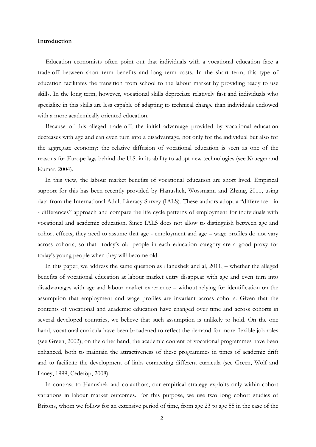#### **Introduction**

Education economists often point out that individuals with a vocational education face a trade-off between short term benefits and long term costs. In the short term, this type of education facilitates the transition from school to the labour market by providing ready to use skills. In the long term, however, vocational skills depreciate relatively fast and individuals who specialize in this skills are less capable of adapting to technical change than individuals endowed with a more academically oriented education.

 Because of this alleged trade-off, the initial advantage provided by vocational education decreases with age and can even turn into a disadvantage, not only for the individual but also for the aggregate economy: the relative diffusion of vocational education is seen as one of the reasons for Europe lags behind the U.S. in its ability to adopt new technologies (see Krueger and Kumar, 2004).

In this view, the labour market benefits of vocational education are short lived. Empirical support for this has been recently provided by Hanushek, Wossmann and Zhang, 2011, using data from the International Adult Literacy Survey (IALS). These authors adopt a "difference - in - differences" approach and compare the life cycle patterns of employment for individuals with vocational and academic education. Since IALS does not allow to distinguish between age and cohort effects, they need to assume that age - employment and age – wage profiles do not vary across cohorts, so that today's old people in each education category are a good proxy for today's young people when they will become old.

In this paper, we address the same question as Hanushek and al, 2011, – whether the alleged benefits of vocational education at labour market entry disappear with age and even turn into disadvantages with age and labour market experience – without relying for identification on the assumption that employment and wage profiles are invariant across cohorts. Given that the contents of vocational and academic education have changed over time and across cohorts in several developed countries, we believe that such assumption is unlikely to hold. On the one hand, vocational curricula have been broadened to reflect the demand for more flexible job roles (see Green, 2002); on the other hand, the academic content of vocational programmes have been enhanced, both to maintain the attractiveness of these programmes in times of academic drift and to facilitate the development of links connecting different curricula (see Green, Wolf and Laney, 1999, Cedefop, 2008).

In contrast to Hanushek and co-authors, our empirical strategy exploits only within-cohort variations in labour market outcomes. For this purpose, we use two long cohort studies of Britons, whom we follow for an extensive period of time, from age 23 to age 55 in the case of the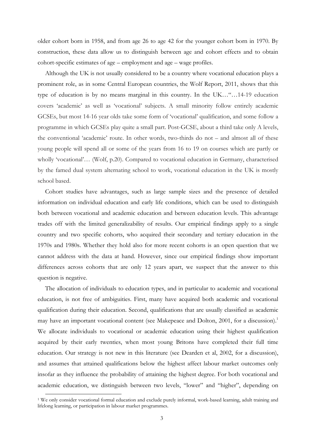older cohort born in 1958, and from age 26 to age 42 for the younger cohort born in 1970. By construction, these data allow us to distinguish between age and cohort effects and to obtain cohort-specific estimates of age – employment and age – wage profiles.

Although the UK is not usually considered to be a country where vocational education plays a prominent role, as in some Central European countries, the Wolf Report, 2011, shows that this type of education is by no means marginal in this country. In the UK…"…14-19 education covers 'academic' as well as 'vocational' subjects. A small minority follow entirely academic GCSEs, but most 14-16 year olds take some form of 'vocational' qualification, and some follow a programme in which GCSEs play quite a small part. Post-GCSE, about a third take only A levels, the conventional 'academic' route. In other words, two-thirds do not – and almost all of these young people will spend all or some of the years from 16 to 19 on courses which are partly or wholly 'vocational'… (Wolf, p.20). Compared to vocational education in Germany, characterised by the famed dual system alternating school to work, vocational education in the UK is mostly school based.

Cohort studies have advantages, such as large sample sizes and the presence of detailed information on individual education and early life conditions, which can be used to distinguish both between vocational and academic education and between education levels. This advantage trades off with the limited generalizability of results. Our empirical findings apply to a single country and two specific cohorts, who acquired their secondary and tertiary education in the 1970s and 1980s. Whether they hold also for more recent cohorts is an open question that we cannot address with the data at hand. However, since our empirical findings show important differences across cohorts that are only 12 years apart, we suspect that the answer to this question is negative.

The allocation of individuals to education types, and in particular to academic and vocational education, is not free of ambiguities. First, many have acquired both academic and vocational qualification during their education. Second, qualifications that are usually classified as academic may have an important vocational content (see Makepeace and Dolton, 2001, for a discussion).<sup>1</sup> We allocate individuals to vocational or academic education using their highest qualification acquired by their early twenties, when most young Britons have completed their full time education. Our strategy is not new in this literature (see Dearden et al, 2002, for a discussion), and assumes that attained qualifications below the highest affect labour market outcomes only insofar as they influence the probability of attaining the highest degree. For both vocational and academic education, we distinguish between two levels, "lower" and "higher", depending on

 <sup>1</sup> We only consider vocational formal education and exclude purely informal, work-based learning, adult training and lifelong learning, or participation in labour market programmes.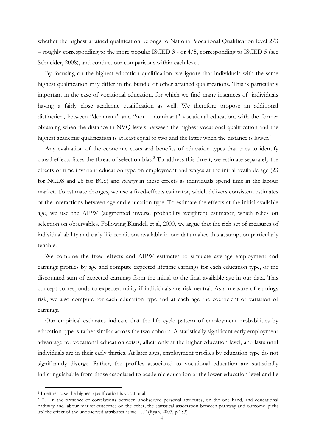whether the highest attained qualification belongs to National Vocational Qualification level 2/3 – roughly corresponding to the more popular ISCED 3 - or 4/5, corresponding to ISCED 5 (see Schneider, 2008), and conduct our comparisons within each level.

By focusing on the highest education qualification, we ignore that individuals with the same highest qualification may differ in the bundle of other attained qualifications. This is particularly important in the case of vocational education, for which we find many instances of individuals having a fairly close academic qualification as well. We therefore propose an additional distinction, between "dominant" and "non – dominant" vocational education, with the former obtaining when the distance in NVQ levels between the highest vocational qualification and the highest academic qualification is at least equal to two and the latter when the distance is lower.<sup>2</sup>

Any evaluation of the economic costs and benefits of education types that tries to identify causal effects faces the threat of selection bias.<sup>3</sup> To address this threat, we estimate separately the effects of time invariant education type on employment and wages at the initial available age (23 for NCDS and 26 for BCS) and *changes* in these effects as individuals spend time in the labour market. To estimate changes, we use a fixed-effects estimator, which delivers consistent estimates of the interactions between age and education type. To estimate the effects at the initial available age, we use the AIPW (augmented inverse probability weighted) estimator, which relies on selection on observables. Following Blundell et al, 2000, we argue that the rich set of measures of individual ability and early life conditions available in our data makes this assumption particularly tenable.

We combine the fixed effects and AIPW estimates to simulate average employment and earnings profiles by age and compute expected lifetime earnings for each education type, or the discounted sum of expected earnings from the initial to the final available age in our data. This concept corresponds to expected utility if individuals are risk neutral. As a measure of earnings risk, we also compute for each education type and at each age the coefficient of variation of earnings.

Our empirical estimates indicate that the life cycle pattern of employment probabilities by education type is rather similar across the two cohorts. A statistically significant early employment advantage for vocational education exists, albeit only at the higher education level, and lasts until individuals are in their early thirties. At later ages, employment profiles by education type do not significantly diverge. Rather, the profiles associated to vocational education are statistically indistinguishable from those associated to academic education at the lower education level and lie

 <sup>2</sup> In either case the highest qualification is vocational.

<sup>3 &</sup>quot;…In the presence of correlations between unobserved personal attributes, on the one hand, and educational pathway and labour market outcomes on the other, the statistical association between pathway and outcome 'picks up' the effect of the unobserved attributes as well…" (Ryan, 2003, p.153)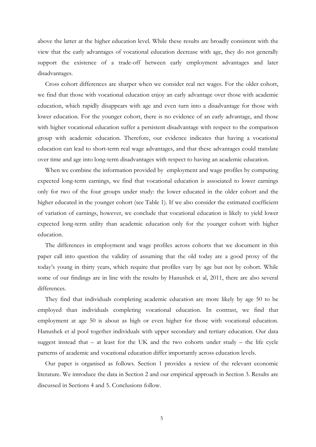above the latter at the higher education level. While these results are broadly consistent with the view that the early advantages of vocational education decrease with age, they do not generally support the existence of a trade-off between early employment advantages and later disadvantages.

Cross cohort differences are sharper when we consider real net wages. For the older cohort, we find that those with vocational education enjoy an early advantage over those with academic education, which rapidly disappears with age and even turn into a disadvantage for those with lower education. For the younger cohort, there is no evidence of an early advantage, and those with higher vocational education suffer a persistent disadvantage with respect to the comparison group with academic education. Therefore, our evidence indicates that having a vocational education can lead to short-term real wage advantages, and that these advantages could translate over time and age into long-term disadvantages with respect to having an academic education.

When we combine the information provided by employment and wage profiles by computing expected long-term earnings, we find that vocational education is associated to lower earnings only for two of the four groups under study: the lower educated in the older cohort and the higher educated in the younger cohort (see Table 1). If we also consider the estimated coefficient of variation of earnings, however, we conclude that vocational education is likely to yield lower expected long-term utility than academic education only for the younger cohort with higher education.

The differences in employment and wage profiles across cohorts that we document in this paper call into question the validity of assuming that the old today are a good proxy of the today's young in thirty years, which require that profiles vary by age but not by cohort. While some of our findings are in line with the results by Hanushek et al, 2011, there are also several differences.

They find that individuals completing academic education are more likely by age 50 to be employed than individuals completing vocational education. In contrast, we find that employment at age 50 is about as high or even higher for those with vocational education. Hanushek et al pool together individuals with upper secondary and tertiary education. Our data suggest instead that  $-$  at least for the UK and the two cohorts under study  $-$  the life cycle patterns of academic and vocational education differ importantly across education levels.

Our paper is organised as follows. Section 1 provides a review of the relevant economic literature. We introduce the data in Section 2 and our empirical approach in Section 3. Results are discussed in Sections 4 and 5. Conclusions follow.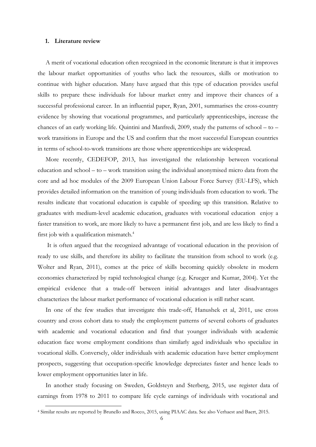#### **1. Literature review**

 A merit of vocational education often recognized in the economic literature is that it improves the labour market opportunities of youths who lack the resources, skills or motivation to continue with higher education. Many have argued that this type of education provides useful skills to prepare these individuals for labour market entry and improve their chances of a successful professional career. In an influential paper, Ryan, 2001, summarises the cross-country evidence by showing that vocational programmes, and particularly apprenticeships, increase the chances of an early working life. Quintini and Manfredi, 2009, study the patterns of school – to – work transitions in Europe and the US and confirm that the most successful European countries in terms of school-to-work transitions are those where apprenticeships are widespread.

 More recently, CEDEFOP, 2013, has investigated the relationship between vocational education and school – to – work transition using the individual anonymised micro data from the core and ad hoc modules of the 2009 European Union Labour Force Survey (EU-LFS), which provides detailed information on the transition of young individuals from education to work. The results indicate that vocational education is capable of speeding up this transition. Relative to graduates with medium-level academic education, graduates with vocational education enjoy a faster transition to work, are more likely to have a permanent first job, and are less likely to find a first job with a qualification mismatch.<sup>4</sup>

 It is often argued that the recognized advantage of vocational education in the provision of ready to use skills, and therefore its ability to facilitate the transition from school to work (e.g. Wolter and Ryan, 2011), comes at the price of skills becoming quickly obsolete in modern economies characterized by rapid technological change (e.g. Krueger and Kumar, 2004). Yet the empirical evidence that a trade-off between initial advantages and later disadvantages characterizes the labour market performance of vocational education is still rather scant.

 In one of the few studies that investigate this trade-off, Hanushek et al, 2011, use cross country and cross cohort data to study the employment patterns of several cohorts of graduates with academic and vocational education and find that younger individuals with academic education face worse employment conditions than similarly aged individuals who specialize in vocational skills. Conversely, older individuals with academic education have better employment prospects, suggesting that occupation-specific knowledge depreciates faster and hence leads to lower employment opportunities later in life.

 In another study focusing on Sweden, Goldsteyn and Sterberg, 2015, use register data of earnings from 1978 to 2011 to compare life cycle earnings of individuals with vocational and

 <sup>4</sup> Similar results are reported by Brunello and Rocco, 2015, using PIAAC data. See also Verhaest and Baert, 2015.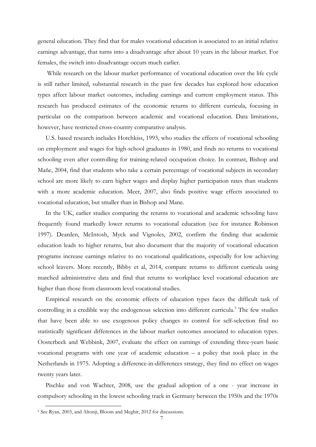general education. They find that for males vocational education is associated to an initial relative earnings advantage, that turns into a disadvantage after about 10 years in the labour market. For females, the switch into disadvantage occurs much earlier.

 While research on the labour market performance of vocational education over the life cycle is still rather limited, substantial research in the past few decades has explored how education types affect labour market outcomes, including earnings and current employment status. This research has produced estimates of the economic returns to different curricula, focusing in particular on the comparison between academic and vocational education. Data limitations, however, have restricted cross-country comparative analysis.

 U.S. based research includes Hotchkiss, 1993, who studies the effects of vocational schooling on employment and wages for high-school graduates in 1980, and finds no returns to vocational schooling even after controlling for training-related occupation choice. In contrast, Bishop and Mañe, 2004, find that students who take a certain percentage of vocational subjects in secondary school are more likely to earn higher wages and display higher participation rates than students with a more academic education. Meer, 2007, also finds positive wage effects associated to vocational education, but smaller than in Bishop and Mane.

 In the UK, earlier studies comparing the returns to vocational and academic schooling have frequently found markedly lower returns to vocational education (see for instance Robinson 1997). Dearden, McIntosh, Myck and Vignoles, 2002, confirm the finding that academic education leads to higher returns, but also document that the majority of vocational education programs increase earnings relative to no vocational qualifications, especially for low achieving school leavers. More recently, Bibby et al, 2014, compare returns to different curricula using matched administrative data and find that returns to workplace level vocational education are higher than those from classroom level vocational studies.

 Empirical research on the economic effects of education types faces the difficult task of controlling in a credible way the endogenous selection into different curricula.<sup>5</sup> The few studies that have been able to use exogenous policy changes to control for self-selection find no statistically significant differences in the labour market outcomes associated to education types. Oosterbeek and Webbink, 2007, evaluate the effect on earnings of extending three-years basic vocational programs with one year of academic education – a policy that took place in the Netherlands in 1975. Adopting a difference-in-differences strategy, they find no effect on wages twenty years later.

 Pischke and von Wachter, 2008, use the gradual adoption of a one - year increase in compulsory schooling in the lowest schooling track in Germany between the 1950s and the 1970s

 <sup>5</sup> See Ryan, 2003, and Altonji, Bloom and Meghir, 2012 for discussions.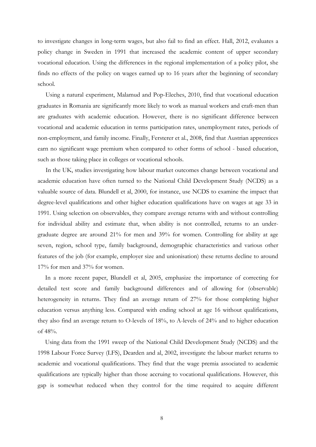to investigate changes in long-term wages, but also fail to find an effect. Hall, 2012, evaluates a policy change in Sweden in 1991 that increased the academic content of upper secondary vocational education. Using the differences in the regional implementation of a policy pilot, she finds no effects of the policy on wages earned up to 16 years after the beginning of secondary school.

 Using a natural experiment, Malamud and Pop-Eleches, 2010, find that vocational education graduates in Romania are significantly more likely to work as manual workers and craft-men than are graduates with academic education. However, there is no significant difference between vocational and academic education in terms participation rates, unemployment rates, periods of non-employment, and family income. Finally, Fersterer et al., 2008, find that Austrian apprentices earn no significant wage premium when compared to other forms of school - based education, such as those taking place in colleges or vocational schools.

In the UK, studies investigating how labour market outcomes change between vocational and academic education have often turned to the National Child Development Study (NCDS) as a valuable source of data. Blundell et al, 2000, for instance, use NCDS to examine the impact that degree-level qualifications and other higher education qualifications have on wages at age 33 in 1991. Using selection on observables, they compare average returns with and without controlling for individual ability and estimate that, when ability is not controlled, returns to an undergraduate degree are around 21% for men and 39% for women. Controlling for ability at age seven, region, school type, family background, demographic characteristics and various other features of the job (for example, employer size and unionisation) these returns decline to around 17% for men and 37% for women.

In a more recent paper, Blundell et al, 2005, emphasize the importance of correcting for detailed test score and family background differences and of allowing for (observable) heterogeneity in returns. They find an average return of 27% for those completing higher education versus anything less. Compared with ending school at age 16 without qualifications, they also find an average return to O-levels of 18%, to A-levels of 24% and to higher education of 48%.

Using data from the 1991 sweep of the National Child Development Study (NCDS) and the 1998 Labour Force Survey (LFS), Dearden and al, 2002, investigate the labour market returns to academic and vocational qualifications. They find that the wage premia associated to academic qualifications are typically higher than those accruing to vocational qualifications. However, this gap is somewhat reduced when they control for the time required to acquire different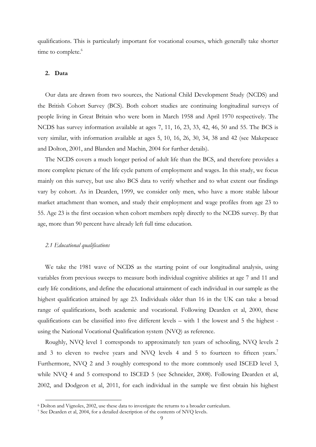qualifications. This is particularly important for vocational courses, which generally take shorter time to complete.<sup>6</sup>

#### **2. Data**

Our data are drawn from two sources, the National Child Development Study (NCDS) and the British Cohort Survey (BCS). Both cohort studies are continuing longitudinal surveys of people living in Great Britain who were born in March 1958 and April 1970 respectively. The NCDS has survey information available at ages 7, 11, 16, 23, 33, 42, 46, 50 and 55. The BCS is very similar, with information available at ages 5, 10, 16, 26, 30, 34, 38 and 42 (see Makepeace and Dolton, 2001, and Blanden and Machin, 2004 for further details).

The NCDS covers a much longer period of adult life than the BCS, and therefore provides a more complete picture of the life cycle pattern of employment and wages. In this study, we focus mainly on this survey, but use also BCS data to verify whether and to what extent our findings vary by cohort. As in Dearden, 1999, we consider only men, who have a more stable labour market attachment than women, and study their employment and wage profiles from age 23 to 55. Age 23 is the first occasion when cohort members reply directly to the NCDS survey. By that age, more than 90 percent have already left full time education.

#### *2.1 Educational qualifications*

We take the 1981 wave of NCDS as the starting point of our longitudinal analysis, using variables from previous sweeps to measure both individual cognitive abilities at age 7 and 11 and early life conditions, and define the educational attainment of each individual in our sample as the highest qualification attained by age 23. Individuals older than 16 in the UK can take a broad range of qualifications, both academic and vocational. Following Dearden et al, 2000, these qualifications can be classified into five different levels – with 1 the lowest and 5 the highest using the National Vocational Qualification system (NVQ) as reference.

Roughly, NVQ level 1 corresponds to approximately ten years of schooling, NVQ levels 2 and 3 to eleven to twelve years and NVO levels 4 and 5 to fourteen to fifteen years.<sup>7</sup> Furthermore, NVQ 2 and 3 roughly correspond to the more commonly used ISCED level 3, while NVQ 4 and 5 correspond to ISCED 5 (see Schneider, 2008). Following Dearden et al, 2002, and Dodgeon et al, 2011, for each individual in the sample we first obtain his highest

 $6$  Dolton and Vignoles, 2002, use these data to investigate the returns to a broader curriculum.<br><sup>7</sup> See Dearden et al, 2004, for a detailed description of the contents of NVQ levels.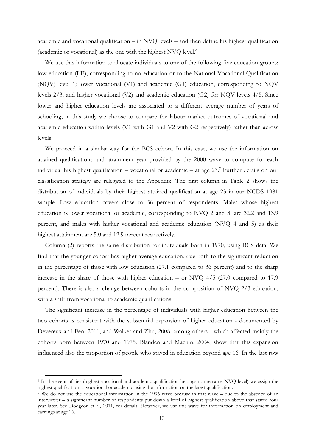academic and vocational qualification – in NVQ levels – and then define his highest qualification (academic or vocational) as the one with the highest NVQ level.8

We use this information to allocate individuals to one of the following five education groups: low education (LE), corresponding to no education or to the National Vocational Qualification (NQV) level 1; lower vocational (V1) and academic (G1) education, corresponding to NQV levels 2/3, and higher vocational (V2) and academic education (G2) for NQV levels 4/5. Since lower and higher education levels are associated to a different average number of years of schooling, in this study we choose to compare the labour market outcomes of vocational and academic education within levels (V1 with G1 and V2 with G2 respectively) rather than across levels.

We proceed in a similar way for the BCS cohort. In this case, we use the information on attained qualifications and attainment year provided by the 2000 wave to compute for each individual his highest qualification – vocational or academic – at age  $23.9$  Further details on our classification strategy are relegated to the Appendix. The first column in Table 2 shows the distribution of individuals by their highest attained qualification at age 23 in our NCDS 1981 sample. Low education covers close to 36 percent of respondents. Males whose highest education is lower vocational or academic, corresponding to NVQ 2 and 3, are 32.2 and 13.9 percent, and males with higher vocational and academic education (NVQ 4 and 5) as their highest attainment are 5.0 and 12.9 percent respectively.

Column (2) reports the same distribution for individuals born in 1970, using BCS data. We find that the younger cohort has higher average education, due both to the significant reduction in the percentage of those with low education (27.1 compared to 36 percent) and to the sharp increase in the share of those with higher education – or NVQ 4/5 (27.0 compared to 17.9 percent). There is also a change between cohorts in the composition of NVQ 2/3 education, with a shift from vocational to academic qualifications.

The significant increase in the percentage of individuals with higher education between the two cohorts is consistent with the substantial expansion of higher education - documented by Devereux and Fen, 2011, and Walker and Zhu, 2008, among others - which affected mainly the cohorts born between 1970 and 1975. Blanden and Machin, 2004, show that this expansion influenced also the proportion of people who stayed in education beyond age 16. In the last row

 <sup>8</sup> In the event of ties (highest vocational and academic qualification belongs to the same NVQ level) we assign the highest qualification to vocational or academic using the information on the latest qualification.

<sup>9</sup> We do not use the educational information in the 1996 wave because in that wave – due to the absence of an interviewer – a significant number of respondents put down a level of highest qualification above that stated four year later. See Dodgeon et al, 2011, for details. However, we use this wave for information on employment and earnings at age 26.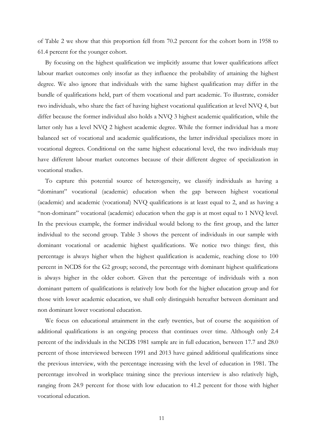of Table 2 we show that this proportion fell from 70.2 percent for the cohort born in 1958 to 61.4 percent for the younger cohort.

By focusing on the highest qualification we implicitly assume that lower qualifications affect labour market outcomes only insofar as they influence the probability of attaining the highest degree. We also ignore that individuals with the same highest qualification may differ in the bundle of qualifications held, part of them vocational and part academic. To illustrate, consider two individuals, who share the fact of having highest vocational qualification at level NVQ 4, but differ because the former individual also holds a NVQ 3 highest academic qualification, while the latter only has a level NVQ 2 highest academic degree. While the former individual has a more balanced set of vocational and academic qualifications, the latter individual specializes more in vocational degrees. Conditional on the same highest educational level, the two individuals may have different labour market outcomes because of their different degree of specialization in vocational studies.

To capture this potential source of heterogeneity, we classify individuals as having a "dominant" vocational (academic) education when the gap between highest vocational (academic) and academic (vocational) NVQ qualifications is at least equal to 2, and as having a "non-dominant" vocational (academic) education when the gap is at most equal to 1 NVQ level. In the previous example, the former individual would belong to the first group, and the latter individual to the second group. Table 3 shows the percent of individuals in our sample with dominant vocational or academic highest qualifications. We notice two things: first, this percentage is always higher when the highest qualification is academic, reaching close to 100 percent in NCDS for the G2 group; second, the percentage with dominant highest qualifications is always higher in the older cohort. Given that the percentage of individuals with a non dominant pattern of qualifications is relatively low both for the higher education group and for those with lower academic education, we shall only distinguish hereafter between dominant and non dominant lower vocational education.

We focus on educational attainment in the early twenties, but of course the acquisition of additional qualifications is an ongoing process that continues over time. Although only 2.4 percent of the individuals in the NCDS 1981 sample are in full education, between 17.7 and 28.0 percent of those interviewed between 1991 and 2013 have gained additional qualifications since the previous interview, with the percentage increasing with the level of education in 1981. The percentage involved in workplace training since the previous interview is also relatively high, ranging from 24.9 percent for those with low education to 41.2 percent for those with higher vocational education.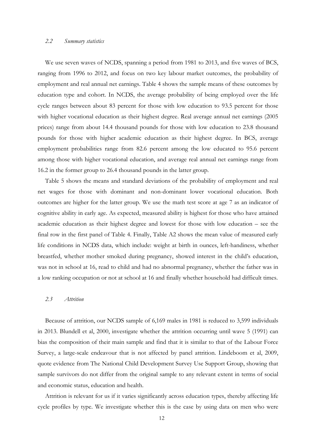#### *2.2 Summary statistics*

We use seven waves of NCDS, spanning a period from 1981 to 2013, and five waves of BCS, ranging from 1996 to 2012, and focus on two key labour market outcomes, the probability of employment and real annual net earnings. Table 4 shows the sample means of these outcomes by education type and cohort. In NCDS, the average probability of being employed over the life cycle ranges between about 83 percent for those with low education to 93.5 percent for those with higher vocational education as their highest degree. Real average annual net earnings (2005 prices) range from about 14.4 thousand pounds for those with low education to 23.8 thousand pounds for those with higher academic education as their highest degree. In BCS, average employment probabilities range from 82.6 percent among the low educated to 95.6 percent among those with higher vocational education, and average real annual net earnings range from 16.2 in the former group to 26.4 thousand pounds in the latter group.

Table 5 shows the means and standard deviations of the probability of employment and real net wages for those with dominant and non-dominant lower vocational education. Both outcomes are higher for the latter group. We use the math test score at age 7 as an indicator of cognitive ability in early age. As expected, measured ability is highest for those who have attained academic education as their highest degree and lowest for those with low education – see the final row in the first panel of Table 4. Finally, Table A2 shows the mean value of measured early life conditions in NCDS data, which include: weight at birth in ounces, left-handiness, whether breastfed, whether mother smoked during pregnancy, showed interest in the child's education, was not in school at 16, read to child and had no abnormal pregnancy, whether the father was in a low ranking occupation or not at school at 16 and finally whether household had difficult times.

#### *2.3 Attrition*

Because of attrition, our NCDS sample of 6,169 males in 1981 is reduced to 3,599 individuals in 2013. Blundell et al, 2000, investigate whether the attrition occurring until wave 5 (1991) can bias the composition of their main sample and find that it is similar to that of the Labour Force Survey, a large-scale endeavour that is not affected by panel attrition. Lindeboom et al, 2009, quote evidence from The National Child Development Survey Use Support Group, showing that sample survivors do not differ from the original sample to any relevant extent in terms of social and economic status, education and health.

Attrition is relevant for us if it varies significantly across education types, thereby affecting life cycle profiles by type. We investigate whether this is the case by using data on men who were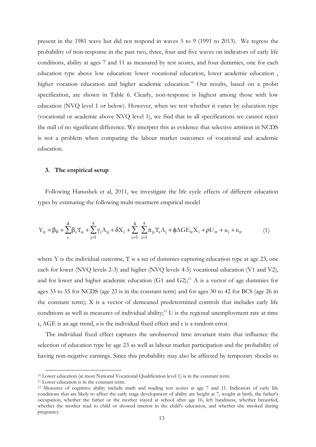present in the 1981 wave but did not respond in waves 5 to 9 (1991 to 2013). We regress the probability of non-response in the past two, three, four and five waves on indicators of early life conditions, ability at ages 7 and 11 as measured by test scores, and four dummies, one for each education type above low education: lower vocational education, lower academic education , higher vocation education and higher academic education.<sup>10</sup> Our results, based on a probit specification, are shown in Table 6. Clearly, non-response is highest among those with low education (NVQ level 1 or below). However, when we test whether it varies by education type (vocational or academic above NVQ level 1), we find that in all specifications we cannot reject the null of no significant difference. We interpret this as evidence that selective attrition in NCDS is not a problem when comparing the labour market outcomes of vocational and academic education.

#### **3. The empirical setup**

Following Hanushek et al, 2011, we investigate the life cycle effects of different education types by estimating the following multi-treatment empirical model

$$
Y_{it} = \beta_0 + \sum_{s}^{4} \beta_s T_{is} + \sum_{j=1}^{5} \gamma_j A_{ij} + \delta X_i + \sum_{s=1}^{4} \sum_{j=1}^{5} \pi_{js} T_s A_j + \phi A G E_{it} X_i + \rho U_{rt} + u_i + \epsilon_{it}
$$
(1)

where Y is the individual outcome, T is a set of dummies capturing education type at age 23, one each for lower (NVQ levels 2-3) and higher (NVQ levels 4-5) vocational education (V1 and V2), and for lower and higher academic education (G1 and G2);<sup>11</sup> A is a vector of age dummies for ages 33 to 55 for NCDS (age 23 is in the constant term) and for ages 30 to 42 for BCS (age 26 in the constant term); X is a vector of demeaned predetermined controls that includes early life conditions as well as measures of individual ability;<sup>12</sup> U is the regional unemployment rate at time t, AGE is an age trend, *u* is the individual fixed effect and ε is a random error.

 The individual fixed effect captures the unobserved time invariant traits that influence the selection of education type by age 23 as well as labour market participation and the probability of having non-negative earnings. Since this probability may also be affected by temporary shocks to

<sup>&</sup>lt;sup>10</sup> Lower education (at most National Vocational Qualification level 1) is in the constant term.<br><sup>11</sup> Lower education is in the constant term.

<sup>12</sup> Measures of cognitive ability include math and reading test scores at age 7 and 11. Indicators of early life conditions that are likely to affect the early stage development of ability are height at 7, weight at birth, the father's occupation, whether the father or the mother stayed at school after age 16, left handiness, whether breastfed, whether the mother read to child or showed interest in the child's education, and whether she smoked during pregnancy.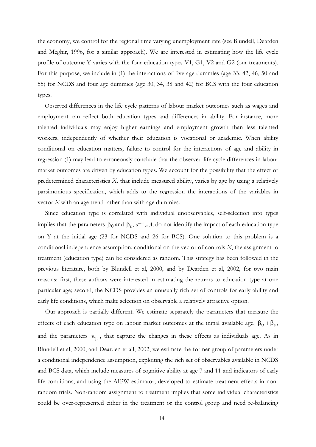the economy, we control for the regional time varying unemployment rate (see Blundell, Dearden and Meghir, 1996, for a similar approach). We are interested in estimating how the life cycle profile of outcome Y varies with the four education types V1, G1, V2 and G2 (our treatments). For this purpose, we include in (1) the interactions of five age dummies (age 33, 42, 46, 50 and 55) for NCDS and four age dummies (age 30, 34, 38 and 42) for BCS with the four education types.

 Observed differences in the life cycle patterns of labour market outcomes such as wages and employment can reflect both education types and differences in ability. For instance, more talented individuals may enjoy higher earnings and employment growth than less talented workers, independently of whether their education is vocational or academic. When ability conditional on education matters, failure to control for the interactions of age and ability in regression (1) may lead to erroneously conclude that the observed life cycle differences in labour market outcomes are driven by education types. We account for the possibility that the effect of predetermined characteristics *X,* that include measured ability, varies by age by using a relatively parsimonious specification, which adds to the regression the interactions of the variables in vector *X* with an age trend rather than with age dummies.

Since education type is correlated with individual unobservables, self-selection into types implies that the parameters  $\beta_0$  and  $\beta_s$ , s=1,..,4, do not identify the impact of each education type on Y at the initial age (23 for NCDS and 26 for BCS). One solution to this problem is a conditional independence assumption: conditional on the vector of controls *X*, the assignment to treatment (education type) can be considered as random. This strategy has been followed in the previous literature, both by Blundell et al, 2000, and by Dearden et al, 2002, for two main reasons: first, these authors were interested in estimating the returns to education type at one particular age; second, the NCDS provides an unusually rich set of controls for early ability and early life conditions, which make selection on observable a relatively attractive option.

Our approach is partially different. We estimate separately the parameters that measure the effects of each education type on labour market outcomes at the initial available age,  $\beta_0 + \beta_s$ , and the parameters  $\pi_{is}$ , that capture the changes in these effects as individuals age. As in Blundell et al, 2000, and Dearden et all, 2002, we estimate the former group of parameters under a conditional independence assumption, exploiting the rich set of observables available in NCDS and BCS data, which include measures of cognitive ability at age 7 and 11 and indicators of early life conditions, and using the AIPW estimator, developed to estimate treatment effects in nonrandom trials. Non-random assignment to treatment implies that some individual characteristics could be over-represented either in the treatment or the control group and need re-balancing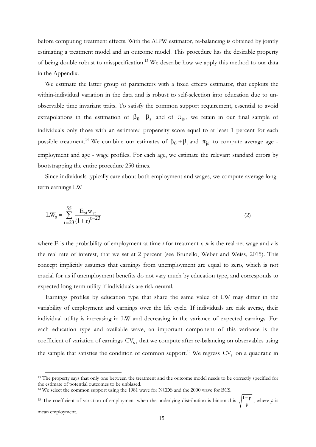before computing treatment effects. With the AIPW estimator, re-balancing is obtained by jointly estimating a treatment model and an outcome model. This procedure has the desirable property of being double robust to misspecification.<sup>13</sup> We describe how we apply this method to our data in the Appendix.

We estimate the latter group of parameters with a fixed effects estimator, that exploits the within-individual variation in the data and is robust to self-selection into education due to unobservable time invariant traits. To satisfy the common support requirement, essential to avoid extrapolations in the estimation of  $\beta_0 + \beta_s$  and of  $\pi_{is}$ , we retain in our final sample of individuals only those with an estimated propensity score equal to at least 1 percent for each possible treatment.<sup>14</sup> We combine our estimates of  $\beta_0 + \beta_s$  and  $\pi_{is}$  to compute average age employment and age - wage profiles. For each age, we estimate the relevant standard errors by bootstrapping the entire procedure 250 times.

Since individuals typically care about both employment and wages, we compute average longterm earnings LW

$$
LW_s = \sum_{t=23}^{55} \frac{E_{st} w_{st}}{(1+r)^{t-23}}
$$
 (2)

where E is the probability of employment at time  $t$  for treatment  $s$ ,  $w$  is the real net wage and  $r$  is the real rate of interest, that we set at 2 percent (see Brunello, Weber and Weiss, 2015). This concept implicitly assumes that earnings from unemployment are equal to zero, which is not crucial for us if unemployment benefits do not vary much by education type, and corresponds to expected long-term utility if individuals are risk neutral.

 Earnings profiles by education type that share the same value of LW may differ in the variability of employment and earnings over the life cycle. If individuals are risk averse, their individual utility is increasing in LW and decreasing in the variance of expected earnings. For each education type and available wave, an important component of this variance is the coefficient of variation of earnings  $CV_s$ , that we compute after re-balancing on observables using the sample that satisfies the condition of common support.<sup>15</sup> We regress  $CV_s$  on a quadratic in

<sup>&</sup>lt;sup>13</sup> The property says that only one between the treatment and the outcome model needs to be correctly specified for the estimate of potential outcomes to be unbiased.

<sup>&</sup>lt;sup>14</sup> We select the common support using the 1981 wave for NCDS and the 2000 wave for BCS.

<sup>&</sup>lt;sup>15</sup> The coefficient of variation of employment when the underlying distribution is binomial is  $\sqrt{\frac{1-p}{p}}$ , where p is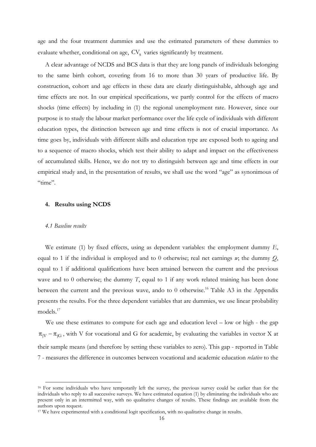age and the four treatment dummies and use the estimated parameters of these dummies to evaluate whether, conditional on age,  $CV_s$  varies significantly by treatment.

A clear advantage of NCDS and BCS data is that they are long panels of individuals belonging to the same birth cohort, covering from 16 to more than 30 years of productive life. By construction, cohort and age effects in these data are clearly distinguishable, although age and time effects are not. In our empirical specifications, we partly control for the effects of macro shocks (time effects) by including in (1) the regional unemployment rate. However, since our purpose is to study the labour market performance over the life cycle of individuals with different education types, the distinction between age and time effects is not of crucial importance. As time goes by, individuals with different skills and education type are exposed both to ageing and to a sequence of macro shocks, which test their ability to adapt and impact on the effectiveness of accumulated skills. Hence, we do not try to distinguish between age and time effects in our empirical study and, in the presentation of results, we shall use the word "age" as synonimous of "time".

#### **4. Results using NCDS**

#### *4.1 Baseline results*

We estimate (1) by fixed effects, using as dependent variables: the employment dummy *E*, equal to 1 if the individual is employed and to 0 otherwise; real net earnings *w*; the dummy *Q*, equal to 1 if additional qualifications have been attained between the current and the previous wave and to 0 otherwise; the dummy *T*, equal to 1 if any work related training has been done between the current and the previous wave, ando to 0 otherwise.<sup>16</sup> Table A3 in the Appendix presents the results. For the three dependent variables that are dummies, we use linear probability models.<sup>17</sup>

We use these estimates to compute for each age and education level – low or high - the gap  $\pi_{jV}$  –  $\pi_{iG}$ , with V for vocational and G for academic, by evaluating the variables in vector X at their sample means (and therefore by setting these variables to zero). This gap - reported in Table 7 - measures the difference in outcomes between vocational and academic education *relative* to the

<sup>&</sup>lt;sup>16</sup> For some individuals who have temporarily left the survey, the previous survey could be earlier than for the individuals who reply to all successive surveys. We have estimated equation (1) by eliminating the individuals who are present only in an intermitted way, with no qualitative changes of results. These findings are available from the authors upon request.

<sup>&</sup>lt;sup>17</sup> We have experimented with a conditional logit specification, with no qualitative change in results.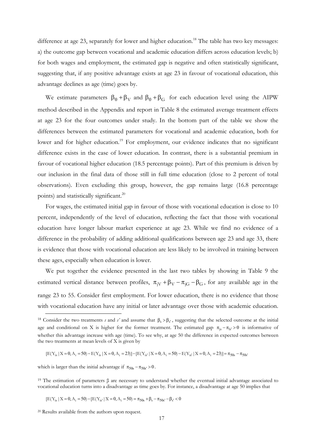difference at age 23, separately for lower and higher education.<sup>18</sup> The table has two key messages: a) the outcome gap between vocational and academic education differs across education levels; b) for both wages and employment, the estimated gap is negative and often statistically significant, suggesting that, if any positive advantage exists at age 23 in favour of vocational education, this advantage declines as age (time) goes by.

We estimate parameters  $\beta_0 + \beta_V$  and  $\beta_0 + \beta_G$  for each education level using the AIPW method described in the Appendix and report in Table 8 the estimated average treatment effects at age 23 for the four outcomes under study. In the bottom part of the table we show the differences between the estimated parameters for vocational and academic education, both for lower and for higher education.<sup>19</sup> For employment, our evidence indicates that no significant difference exists in the case of lower education. In contrast, there is a substantial premium in favour of vocational higher education (18.5 percentage points). Part of this premium is driven by our inclusion in the final data of those still in full time education (close to 2 percent of total observations). Even excluding this group, however, the gap remains large (16.8 percentage points) and statistically significant.<sup>20</sup>

 For wages, the estimated initial gap in favour of those with vocational education is close to 10 percent, independently of the level of education, reflecting the fact that those with vocational education have longer labour market experience at age 23. While we find no evidence of a difference in the probability of adding additional qualifications between age 23 and age 33, there is evidence that those with vocational education are less likely to be involved in training between these ages, especially when education is lower.

 We put together the evidence presented in the last two tables by showing in Table 9 the estimated vertical distance between profiles,  $\pi_{\text{iV}} + \beta_{\text{V}} - \pi_{\text{iG}} - \beta_{\text{G}}$ , for any available age in the range 23 to 55. Consider first employment. For lower education, there is no evidence that those with vocational education have any initial or later advantage over those with academic education.

 $[E(Y_{is} | X = 0, A_i = 50] - E(Y_{is} | X = 0, A_i = 23)] - [E(Y_{is} | X = 0, A_i = 50] - E(Y_{is} | X = 0, A_i = 23)] = \pi_{50s} - \pi_{50s}$ 

which is larger than the initial advantage if  $\pi_{50s} - \pi_{50s'} > 0$ .

19 The estimation of parameters β are necessary to understand whether the eventual initial advantage associated to vocational education turns into a disadvantage as time goes by. For instance, a disadvantage at age 50 implies that

$$
[{\rm E}(Y_{is}\ |\ X=0, A_i=50)-[{\rm E}(Y_{is'}\ |\ X=0, A_i=50)=\pi_{50s}+\beta_s-\pi_{50s'}-\beta_{s'}<0
$$

<sup>&</sup>lt;sup>18</sup> Consider the two treatments *s* and *s'* and assume that  $\beta_s > \beta_{s'}$ , suggesting that the selected outcome at the initial age and conditional on X is higher for the former treatment. The estimated gap  $\pi_{is} - \pi_{ls'} > 0$  is informative of whether this advantage increase with age (time). To see why, at age 50 the difference in expected outcomes between the two treatments at mean levels of X is given by

<sup>20</sup> Results available from the authors upon request.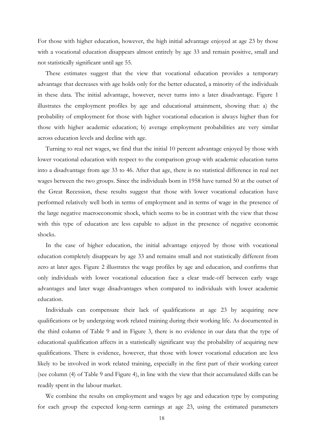For those with higher education, however, the high initial advantage enjoyed at age 23 by those with a vocational education disappears almost entirely by age 33 and remain positive, small and not statistically significant until age 55.

 These estimates suggest that the view that vocational education provides a temporary advantage that decreases with age holds only for the better educated, a minority of the individuals in these data. The initial advantage, however, never turns into a later disadvantage. Figure 1 illustrates the employment profiles by age and educational attainment, showing that: a) the probability of employment for those with higher vocational education is always higher than for those with higher academic education; b) average employment probabilities are very similar across education levels and decline with age.

 Turning to real net wages, we find that the initial 10 percent advantage enjoyed by those with lower vocational education with respect to the comparison group with academic education turns into a disadvantage from age 33 to 46. After that age, there is no statistical difference in real net wages between the two groups. Since the individuals born in 1958 have turned 50 at the outset of the Great Recession, these results suggest that those with lower vocational education have performed relatively well both in terms of employment and in terms of wage in the presence of the large negative macroeconomic shock, which seems to be in contrast with the view that those with this type of education are less capable to adjust in the presence of negative economic shocks.

 In the case of higher education, the initial advantage enjoyed by those with vocational education completely disappears by age 33 and remains small and not statistically different from zero at later ages. Figure 2 illustrates the wage profiles by age and education, and confirms that only individuals with lower vocational education face a clear trade-off between early wage advantages and later wage disadvantages when compared to individuals with lower academic education.

 Individuals can compensate their lack of qualifications at age 23 by acquiring new qualifications or by undergoing work related training during their working life. As documented in the third column of Table 9 and in Figure 3, there is no evidence in our data that the type of educational qualification affects in a statistically significant way the probability of acquiring new qualifications. There is evidence, however, that those with lower vocational education are less likely to be involved in work related training, especially in the first part of their working career (see column (4) of Table 9 and Figure 4), in line with the view that their accumulated skills can be readily spent in the labour market.

 We combine the results on employment and wages by age and education type by computing for each group the expected long-term earnings at age 23, using the estimated parameters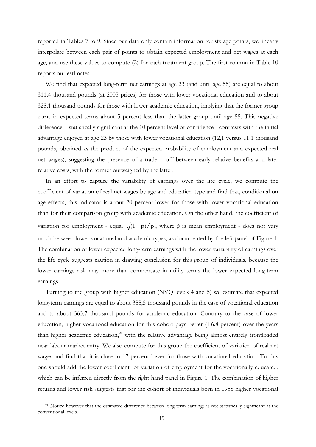reported in Tables 7 to 9. Since our data only contain information for six age points, we linearly interpolate between each pair of points to obtain expected employment and net wages at each age, and use these values to compute (2) for each treatment group. The first column in Table 10 reports our estimates.

 We find that expected long-term net earnings at age 23 (and until age 55) are equal to about 311,4 thousand pounds (at 2005 prices) for those with lower vocational education and to about 328,1 thousand pounds for those with lower academic education, implying that the former group earns in expected terms about 5 percent less than the latter group until age 55. This negative difference – statistically significant at the 10 percent level of confidence - contrasts with the initial advantage enjoyed at age 23 by those with lower vocational education (12,1 versus 11,1 thousand pounds, obtained as the product of the expected probability of employment and expected real net wages), suggesting the presence of a trade – off between early relative benefits and later relative costs, with the former outweighed by the latter.

 In an effort to capture the variability of earnings over the life cycle, we compute the coefficient of variation of real net wages by age and education type and find that, conditional on age effects, this indicator is about 20 percent lower for those with lower vocational education than for their comparison group with academic education. On the other hand, the coefficient of variation for employment - equal  $\sqrt{(1-p)/p}$ , where *p* is mean employment - does not vary much between lower vocational and academic types, as documented by the left panel of Figure 1. The combination of lower expected long-term earnings with the lower variability of earnings over the life cycle suggests caution in drawing conclusion for this group of individuals, because the lower earnings risk may more than compensate in utility terms the lower expected long-term earnings.

 Turning to the group with higher education (NVQ levels 4 and 5) we estimate that expected long-term earnings are equal to about 388,5 thousand pounds in the case of vocational education and to about 363,7 thousand pounds for academic education. Contrary to the case of lower education, higher vocational education for this cohort pays better (+6.8 percent) over the years than higher academic education, $^{21}$  with the relative advantage being almost entirely frontloaded near labour market entry. We also compute for this group the coefficient of variation of real net wages and find that it is close to 17 percent lower for those with vocational education. To this one should add the lower coefficient of variation of employment for the vocationally educated, which can be inferred directly from the right hand panel in Figure 1. The combination of higher returns and lower risk suggests that for the cohort of individuals born in 1958 higher vocational

-

<sup>&</sup>lt;sup>21</sup> Notice however that the estimated difference between long-term earnings is not statistically significant at the conventional levels.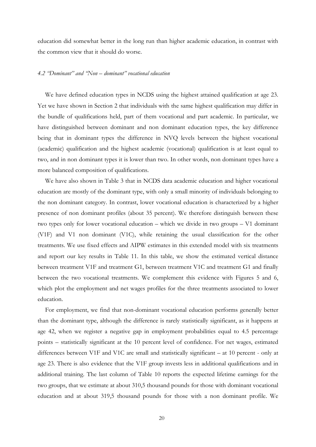education did somewhat better in the long run than higher academic education, in contrast with the common view that it should do worse.

#### *4.2 "Dominant" and "Non – dominant" vocational education*

We have defined education types in NCDS using the highest attained qualification at age 23. Yet we have shown in Section 2 that individuals with the same highest qualification may differ in the bundle of qualifications held, part of them vocational and part academic. In particular, we have distinguished between dominant and non dominant education types, the key difference being that in dominant types the difference in NVQ levels between the highest vocational (academic) qualification and the highest academic (vocational) qualification is at least equal to two, and in non dominant types it is lower than two. In other words, non dominant types have a more balanced composition of qualifications.

We have also shown in Table 3 that in NCDS data academic education and higher vocational education are mostly of the dominant type, with only a small minority of individuals belonging to the non dominant category. In contrast, lower vocational education is characterized by a higher presence of non dominant profiles (about 35 percent). We therefore distinguish between these two types only for lower vocational education – which we divide in two groups – V1 dominant (V1F) and V1 non dominant (V1C), while retaining the usual classification for the other treatments. We use fixed effects and AIPW estimates in this extended model with six treatments and report our key results in Table 11. In this table, we show the estimated vertical distance between treatment V1F and treatment G1, between treatment V1C and treatment G1 and finally between the two vocational treatments. We complement this evidence with Figures 5 and 6, which plot the employment and net wages profiles for the three treatments associated to lower education.

For employment, we find that non-dominant vocational education performs generally better than the dominant type, although the difference is rarely statistically significant, as it happens at age 42, when we register a negative gap in employment probabilities equal to 4.5 percentage points – statistically significant at the 10 percent level of confidence. For net wages, estimated differences between V1F and V1C are small and statistically significant – at 10 percent - only at age 23. There is also evidence that the V1F group invests less in additional qualifications and in additional training. The last column of Table 10 reports the expected lifetime earnings for the two groups, that we estimate at about 310,5 thousand pounds for those with dominant vocational education and at about 319,5 thousand pounds for those with a non dominant profile. We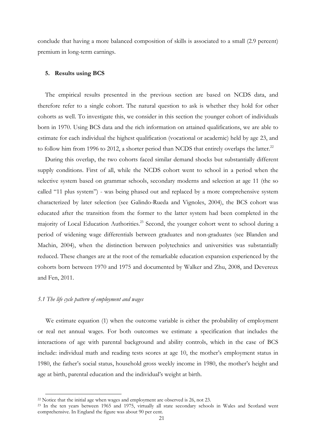conclude that having a more balanced composition of skills is associated to a small (2.9 percent) premium in long-term earnings.

#### **5. Results using BCS**

The empirical results presented in the previous section are based on NCDS data, and therefore refer to a single cohort. The natural question to ask is whether they hold for other cohorts as well. To investigate this, we consider in this section the younger cohort of individuals born in 1970. Using BCS data and the rich information on attained qualifications, we are able to estimate for each individual the highest qualification (vocational or academic) held by age 23, and to follow him from 1996 to 2012, a shorter period than NCDS that entirely overlaps the latter. $^{22}$ 

During this overlap, the two cohorts faced similar demand shocks but substantially different supply conditions. First of all, while the NCDS cohort went to school in a period when the selective system based on grammar schools, secondary moderns and selection at age 11 (the so called "11 plus system") - was being phased out and replaced by a more comprehensive system characterized by later selection (see Galindo-Rueda and Vignoles, 2004), the BCS cohort was educated after the transition from the former to the latter system had been completed in the majority of Local Education Authorities.<sup>23</sup> Second, the younger cohort went to school during a period of widening wage differentials between graduates and non-graduates (see Blanden and Machin, 2004), when the distinction between polytechnics and universities was substantially reduced. These changes are at the root of the remarkable education expansion experienced by the cohorts born between 1970 and 1975 and documented by Walker and Zhu, 2008, and Devereux and Fen, 2011.

#### *5.1 The life cycle pattern of employment and wages*

We estimate equation (1) when the outcome variable is either the probability of employment or real net annual wages. For both outcomes we estimate a specification that includes the interactions of age with parental background and ability controls, which in the case of BCS include: individual math and reading tests scores at age 10, the mother's employment status in 1980, the father's social status, household gross weekly income in 1980, the mother's height and age at birth, parental education and the individual's weight at birth.

<sup>&</sup>lt;sup>22</sup> Notice that the initial age when wages and employment are observed is  $26$ , not  $23$ .<br><sup>23</sup> In the ten years between 1965 and 1975, virtually all state secondary schools in Wales and Scotland went comprehensive. In England the figure was about 90 per cent.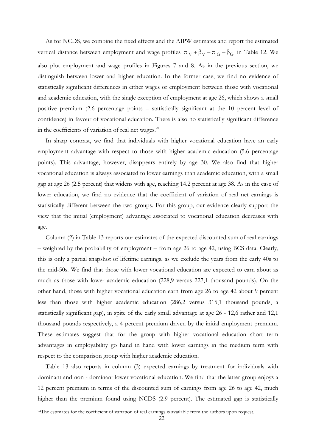As for NCDS, we combine the fixed effects and the AIPW estimates and report the estimated vertical distance between employment and wage profiles  $\pi_{jV} + \beta_V - \pi_{jG} - \beta_G$  in Table 12. We also plot employment and wage profiles in Figures 7 and 8. As in the previous section, we distinguish between lower and higher education. In the former case, we find no evidence of statistically significant differences in either wages or employment between those with vocational and academic education, with the single exception of employment at age 26, which shows a small positive premium (2.6 percentage points – statistically significant at the 10 percent level of confidence) in favour of vocational education. There is also no statistically significant difference in the coefficients of variation of real net wages.<sup>24</sup>

 In sharp contrast, we find that individuals with higher vocational education have an early employment advantage with respect to those with higher academic education (5.6 percentage points). This advantage, however, disappears entirely by age 30. We also find that higher vocational education is always associated to lower earnings than academic education, with a small gap at age 26 (2.5 percent) that widens with age, reaching 14.2 percent at age 38. As in the case of lower education, we find no evidence that the coefficient of variation of real net earnings is statistically different between the two groups. For this group, our evidence clearly support the view that the initial (employment) advantage associated to vocational education decreases with age.

 Column (2) in Table 13 reports our estimates of the expected discounted sum of real earnings – weighted by the probability of employment – from age 26 to age 42, using BCS data. Clearly, this is only a partial snapshot of lifetime earnings, as we exclude the years from the early 40s to the mid-50s. We find that those with lower vocational education are expected to earn about as much as those with lower academic education (228,9 versus 227,1 thousand pounds). On the other hand, those with higher vocational education earn from age 26 to age 42 about 9 percent less than those with higher academic education (286,2 versus 315,1 thousand pounds, a statistically significant gap), in spite of the early small advantage at age 26 - 12,6 rather and 12,1 thousand pounds respectively, a 4 percent premium driven by the initial employment premium. These estimates suggest that for the group with higher vocational education short term advantages in employability go hand in hand with lower earnings in the medium term with respect to the comparison group with higher academic education.

 Table 13 also reports in column (3) expected earnings by treatment for individuals with dominant and non - dominant lower vocational education. We find that the latter group enjoys a 12 percent premium in terms of the discounted sum of earnings from age 26 to age 42, much higher than the premium found using NCDS (2.9 percent). The estimated gap is statistically

<sup>&</sup>lt;sup>24</sup>The estimates for the coefficient of variation of real earnings is available from the authors upon request.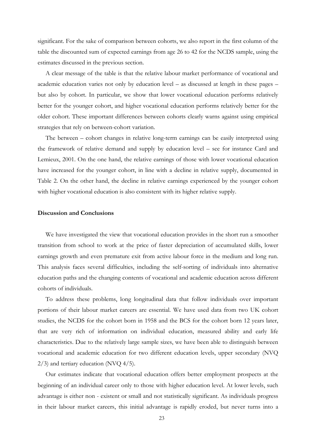significant. For the sake of comparison between cohorts, we also report in the first column of the table the discounted sum of expected earnings from age 26 to 42 for the NCDS sample, using the estimates discussed in the previous section.

 A clear message of the table is that the relative labour market performance of vocational and academic education varies not only by education level – as discussed at length in these pages – but also by cohort. In particular, we show that lower vocational education performs relatively better for the younger cohort, and higher vocational education performs relatively better for the older cohort. These important differences between cohorts clearly warns against using empirical strategies that rely on between-cohort variation.

 The between – cohort changes in relative long-term earnings can be easily interpreted using the framework of relative demand and supply by education level – see for instance Card and Lemieux, 2001. On the one hand, the relative earnings of those with lower vocational education have increased for the younger cohort, in line with a decline in relative supply, documented in Table 2. On the other hand, the decline in relative earnings experienced by the younger cohort with higher vocational education is also consistent with its higher relative supply.

#### **Discussion and Conclusions**

 We have investigated the view that vocational education provides in the short run a smoother transition from school to work at the price of faster depreciation of accumulated skills, lower earnings growth and even premature exit from active labour force in the medium and long run. This analysis faces several difficulties, including the self-sorting of individuals into alternative education paths and the changing contents of vocational and academic education across different cohorts of individuals.

 To address these problems, long longitudinal data that follow individuals over important portions of their labour market careers are essential. We have used data from two UK cohort studies, the NCDS for the cohort born in 1958 and the BCS for the cohort born 12 years later, that are very rich of information on individual education, measured ability and early life characteristics. Due to the relatively large sample sizes, we have been able to distinguish between vocational and academic education for two different education levels, upper secondary (NVQ 2/3) and tertiary education (NVQ 4/5).

 Our estimates indicate that vocational education offers better employment prospects at the beginning of an individual career only to those with higher education level. At lower levels, such advantage is either non - existent or small and not statistically significant. As individuals progress in their labour market careers, this initial advantage is rapidly eroded, but never turns into a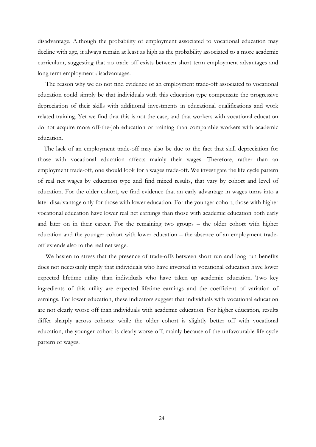disadvantage. Although the probability of employment associated to vocational education may decline with age, it always remain at least as high as the probability associated to a more academic curriculum, suggesting that no trade off exists between short term employment advantages and long term employment disadvantages.

 The reason why we do not find evidence of an employment trade-off associated to vocational education could simply be that individuals with this education type compensate the progressive depreciation of their skills with additional investments in educational qualifications and work related training. Yet we find that this is not the case, and that workers with vocational education do not acquire more off-the-job education or training than comparable workers with academic education.

 The lack of an employment trade-off may also be due to the fact that skill depreciation for those with vocational education affects mainly their wages. Therefore, rather than an employment trade-off, one should look for a wages trade-off. We investigate the life cycle pattern of real net wages by education type and find mixed results, that vary by cohort and level of education. For the older cohort, we find evidence that an early advantage in wages turns into a later disadvantage only for those with lower education. For the younger cohort, those with higher vocational education have lower real net earnings than those with academic education both early and later on in their career. For the remaining two groups – the older cohort with higher education and the younger cohort with lower education – the absence of an employment tradeoff extends also to the real net wage.

 We hasten to stress that the presence of trade-offs between short run and long run benefits does not necessarily imply that individuals who have invested in vocational education have lower expected lifetime utility than individuals who have taken up academic education. Two key ingredients of this utility are expected lifetime earnings and the coefficient of variation of earnings. For lower education, these indicators suggest that individuals with vocational education are not clearly worse off than individuals with academic education. For higher education, results differ sharply across cohorts: while the older cohort is slightly better off with vocational education, the younger cohort is clearly worse off, mainly because of the unfavourable life cycle pattern of wages.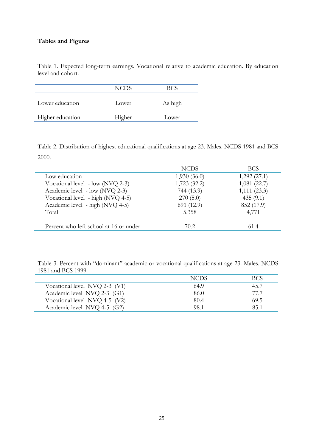### **Tables and Figures**

Í,

Table 1. Expected long-term earnings. Vocational relative to academic education. By education level and cohort.

|                  | <b>NCDS</b> |         |
|------------------|-------------|---------|
| Lower education  | Lower       | As high |
| Higher education | Higher      | Lower   |

Table 2. Distribution of highest educational qualifications at age 23. Males. NCDS 1981 and BCS 2000.

|                                        | <b>NCDS</b> | BCS.        |
|----------------------------------------|-------------|-------------|
| Low education                          | 1,930(36.0) | 1,292(27.1) |
| Vocational level - low (NVQ 2-3)       | 1,723(32.2) | 1,081(22.7) |
| Academic level - low (NVQ 2-3)         | 744 (13.9)  | 1,111(23.3) |
| Vocational level - high (NVQ 4-5)      | 270(5.0)    | 435(9.1)    |
| Academic level - high (NVQ 4-5)        | 691 (12.9)  | 852 (17.9)  |
| Total                                  | 5,358       | 4,771       |
| Percent who left school at 16 or under | 70.2        | 61.4        |

Table 3. Percent with "dominant" academic or vocational qualifications at age 23. Males. NCDS 1981 and BCS 1999.

|                               | <b>NCDS</b> | BCS  |
|-------------------------------|-------------|------|
| Vocational level NVQ 2-3 (V1) | 64.9        | 45.7 |
| Academic level NVQ 2-3 (G1)   | 86.0        | 77 7 |
| Vocational level NVQ 4-5 (V2) | 80.4        | 69.5 |
| Academic level NVQ 4-5 (G2)   | 98.1        | 851  |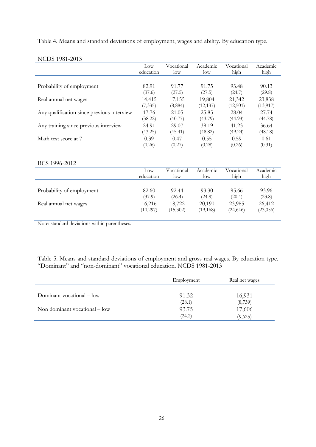Table 4. Means and standard deviations of employment, wages and ability. By education type.

|                                            | Low       | Vocational      | Academic  | Vocational | Academic  |
|--------------------------------------------|-----------|-----------------|-----------|------------|-----------|
|                                            | education | $_{\text{low}}$ | $\log$    | high       | high      |
|                                            |           |                 |           |            |           |
| Probability of employment                  | 82.91     | 91.77           | 91.75     | 93.48      | 90.13     |
|                                            | (37.6)    | (27.5)          | (27.5)    | (24.7)     | (29.8)    |
| Real annual net wages                      | 14,415    | 17,155          | 19,804    | 21,342     | 23,838    |
|                                            | (7, 335)  | (8,884)         | (12, 137) | (12,501)   | (13, 917) |
| Any qualification since previous interview | 17.76     | 21.05           | 25.85     | 28.04      | 27.74     |
|                                            | (38.22)   | (40.77)         | (43.79)   | (44.93)    | (44.78)   |
| Any training since previous interview      | 24.91     | 29.07           | 39.19     | 41.23      | 36.64     |
|                                            | (43.25)   | (45.41)         | (48.82)   | (49.24)    | (48.18)   |
| Math test score at 7                       | 0.39      | 0.47            | 0.55      | 0.59       | 0.61      |
|                                            | (0.26)    | (0.27)          | (0.28)    | (0.26)     | (0.31)    |

## NCDS 1981-2013

#### BCS 1996-2012

|                           | Low       | Vocational | Academic  | Vocational | Academic |
|---------------------------|-----------|------------|-----------|------------|----------|
|                           | education | low        | low       | high       | high     |
| Probability of employment | 82.60     | 92.44      | 93.30     | 95.66      | 93.96    |
|                           | (37.9)    | (26.4)     | (24.9)    | (20.4)     | (23.8)   |
| Real annual net wages     | 16,216    | 18,722     | 20,190    | 23,985     | 26,412   |
|                           | (10, 297) | (15,302)   | (19, 168) | (24, 646)  | (23,056) |

Note: standard deviations within parentheses.

Table 5. Means and standard deviations of employment and gross real wages. By education type. "Dominant" and "non-dominant" vocational education. NCDS 1981-2013

|                                       | Employment | Real net wages |
|---------------------------------------|------------|----------------|
| Dominant vocational – low             | 91.32      | 16,931         |
|                                       | (28.1)     | (8,739)        |
| Non dominant vocational $-\text{low}$ | 93.75      | 17,606         |
|                                       | (24.2)     | (9,625)        |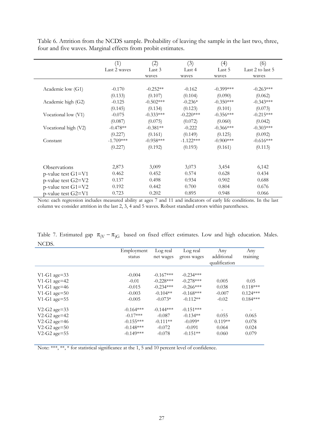|                           | (1)          | (2)         | (3)         | (4)          | (6)              |
|---------------------------|--------------|-------------|-------------|--------------|------------------|
|                           | Last 2 waves | Last 3      | Last 4      | Last 5       | Last 2 to last 5 |
|                           |              | waves       | waves       | waves        | waves            |
| Academic low (G1)         | $-0.170$     | $-0.252**$  | $-0.162$    | $-0.399$ *** | $-0.263***$      |
|                           | (0.133)      | (0.107)     | (0.104)     | (0.090)      | (0.062)          |
| Academic high (G2)        | $-0.125$     | $-0.502***$ | $-0.236*$   | $-0.350***$  | $-0.343***$      |
|                           | (0.145)      | (0.134)     | (0.123)     | (0.101)      | (0.073)          |
| Vocational low (V1)       | $-0.075$     | $-0.333***$ | $-0.220***$ | $-0.356***$  | $-0.215***$      |
|                           | (0.087)      | (0.075)     | (0.072)     | (0.060)      | (0.042)          |
| Vocational high (V2)      | $-0.478**$   | $-0.381**$  | $-0.222$    | $-0.366***$  | $-0.303***$      |
|                           | (0.227)      | (0.161)     | (0.149)     | (0.125)      | (0.092)          |
| Constant                  | $-1.709***$  | $-0.958***$ | $-1.122***$ | $-0.900$ *** | $-0.616***$      |
|                           | (0.227)      | (0.192)     | (0.193)     | (0.161)      | (0.113)          |
| Observations              | 2,873        | 3,009       | 3,073       | 3,454        | 6,142            |
| $p$ -value test $G1 = V1$ | 0.462        | 0.452       | 0.574       | 0.628        | 0.434            |
| p-value test G2=V2        | 0.137        | 0.498       | 0.934       | 0.902        | 0.688            |
| $p$ -value test $G1 = V2$ | 0.192        | 0.442       | 0.700       | 0.804        | 0.676            |
| p-value test $G2=V1$      | 0.723        | 0.202       | 0.895       | 0.948        | 0.066            |

Table 6. Attrition from the NCDS sample. Probability of leaving the sample in the last two, three, four and five waves. Marginal effects from probit estimates.

Note: each regression includes measured ability at ages 7 and 11 and indicators of early life conditions. In the last column we consider attrition in the last 2, 3, 4 and 5 waves. Robust standard errors within parentheses.

Table 7. Estimated gap  $\pi_{\text{iV}} - \pi_{\text{iG}}$  based on fixed effect estimates. Low and high education. Males. NCDS.

|                   | Employment  | Log real    | Log real    | Any           | Any        |
|-------------------|-------------|-------------|-------------|---------------|------------|
|                   | status      | net wages   | gross wages | additional    | training   |
|                   |             |             |             | qualification |            |
|                   |             |             |             |               |            |
| $V1-G1$ age=33    | $-0.004$    | $-0.167***$ | $-0.234***$ |               |            |
| $V1-G1$ age=42    | $-0.01$     | $-0.228***$ | $-0.278***$ | 0.005         | 0.05       |
| $V1-G1$ age=46    | $-0.015$    | $-0.234***$ | $-0.266***$ | 0.038         | $0.118***$ |
| $V1-G1$ age= $50$ | $-0.003$    | $-0.104**$  | $-0.168***$ | $-0.007$      | $0.124***$ |
| $V1-G1$ age=55    | $-0.005$    | $-0.073*$   | $-0.112**$  | $-0.02$       | $0.184***$ |
| $V2-G2$ age=33    | $-0.164***$ | $-0.144***$ | $-0.151***$ |               |            |
| V2-G2 age=42      | $-0.17***$  | $-0.087$    | $-0.134**$  | 0.055         | 0.065      |
| V2-G2 age=46      | $-0.155***$ | $-0.111**$  | $-0.099*$   | $0.119**$     | 0.078      |
| $V2-G2$ age= $50$ | $-0.148***$ | $-0.072$    | $-0.091$    | 0.064         | 0.024      |
| V2-G2 age=55      | $-0.149***$ | $-0.078$    | $-0.151**$  | 0.060         | 0.079      |

Note: \*\*\*, \*\*, \* for statistical significance at the 1, 5 and 10 percent level of confidence.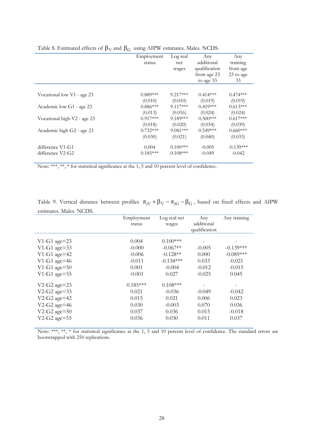|                             | . . |            |            |               |             |
|-----------------------------|-----|------------|------------|---------------|-------------|
|                             |     | Employment | Log real   | Any           | Any         |
|                             |     | status     | net        | additional    | training    |
|                             |     |            | wages      | qualification | from age    |
|                             |     |            |            | from age 23   | 23 to age   |
|                             |     |            |            | to age 33     | 33          |
|                             |     |            |            |               |             |
| Vocational low V1 - age 23  |     | $0.889***$ | $9.217***$ | $0.414***$    | $0.474***$  |
|                             |     | (0.010)    | (0.010)    | (0.019)       | (0.019)     |
| Academic low G1 - age 23    |     | $0.886***$ | $9.117***$ | $0.419***$    | $0.613***$  |
|                             |     | (0.013)    | (0.016)    | (0.024)       | (0.024)     |
| Vocational high V2 - age 23 |     | $0.917***$ | 9.189***   | $0.500***$    | $0.617***$  |
|                             |     | (0.018)    | (0.020)    | (0.034)       | (0.039)     |
| Academic high G2 - age 23   |     | $0.732***$ | $9.081***$ | $0.549***$    | $0.660***$  |
|                             |     | (0.030)    | (0.021)    | (0.040)       | (0.033)     |
| difference V1-G1            |     | 0.004      | $0.100***$ | $-0.005$      | $-0.139***$ |
| difference V2-G2            |     | $0.185***$ | $0.108***$ | $-0.049$      | $-0.042$    |
|                             |     |            |            |               |             |

Table 8. Estimated effects of  $\beta_V$  and  $\beta_G$  using AIPW estimates. Males. NCDS.

Note: \*\*\*, \*\*, \* for statistical significance at the 1, 5 and 10 percent level of confidence.

Table 9. Vertical distance between profiles  $\pi_{jV} + \beta_V - \pi_{jG} - \beta_G$ , based on fixed effects and AIPW estimates. Males. NCDS.

|                   | Employment | Log real net | Any                         | Any training |
|-------------------|------------|--------------|-----------------------------|--------------|
|                   | status     | wages        | additional<br>qualification |              |
|                   |            |              |                             |              |
| $V1-G1$ age=23    | 0.004      | $0.100***$   |                             |              |
| V1-G1 age=33      | $-0.000$   | $-0.067**$   | $-0.005$                    | $-0.139***$  |
| $V1-G1$ age=42    | $-0.006$   | $-0.128**$   | 0.000                       | $-0.089***$  |
| $V1-G1$ age=46    | $-0.011$   | $-0.134***$  | 0.033                       | $-0.021$     |
| $V1-G1$ age=50    | 0.001      | $-0.004$     | $-0.012$                    | $-0.015$     |
| $V1-G1$ age=55    | $-0.001$   | 0.027        | $-0.025$                    | 0.045        |
| $V2-G2$ age=23    | $0.185***$ | $0.108***$   |                             |              |
| V2-G2 age=33      | 0.021      | $-0.036$     | $-0.049$                    | $-0.042$     |
| $V2-G2$ age=42    | 0.015      | 0.021        | 0.006                       | 0.023        |
| $V2-G2$ age=46    | 0.030      | $-0.003$     | 0.070                       | 0.036        |
| $V2-G2$ age= $50$ | 0.037      | 0.036        | 0.015                       | $-0.018$     |
| V2-G2 age=55      | 0.036      | 0.030        | 0.011                       | 0.037        |

Note: \*\*\*, \*\*, \* for statistical significance at the 1, 5 and 10 percent level of confidence. The standard errors are bootstrapped with 250 replications.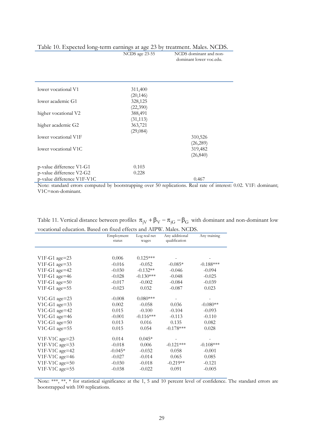|  |  |  | Table 10. Expected long-term earnings at age 23 by treatment. Males. NCDS. |
|--|--|--|----------------------------------------------------------------------------|
|  |  |  |                                                                            |

NCDS age 23-55 NCDS dominant and non-

dominant lower voc.edu.

| lower vocational V1        | 311,400   |           |
|----------------------------|-----------|-----------|
|                            | (20, 146) |           |
| lower academic G1          | 328,125   |           |
|                            | (22,390)  |           |
| higher vocational V2       | 388,491   |           |
|                            | (31, 113) |           |
| higher academic G2         | 363,721   |           |
|                            | (29,084)  |           |
| lower vocational V1F       |           | 310,526   |
|                            |           | (26, 289) |
| lower vocational V1C       |           | 319,482   |
|                            |           | (26, 840) |
|                            |           |           |
| p-value difference V1-G1   | 0.103     |           |
| p-value difference V2-G2   | 0.228     |           |
| p-value difference V1F-V1C |           | 0.467     |

Note: standard errors computed by bootstrapping over 50 replications. Real rate of interest: 0.02. V1F: dominant; V1C=non-dominant.

| Table 11. Vertical distance between profiles $\pi_{jV} + \beta_V - \pi_{jG} - \beta_G$ with dominant and non-dominant low |
|---------------------------------------------------------------------------------------------------------------------------|
| vocational education. Based on fixed effects and AIPW. Males. NCDS.                                                       |

|                  | Employment<br>status | Log real net<br>wages | Any additional<br>qualification | Any training |
|------------------|----------------------|-----------------------|---------------------------------|--------------|
|                  |                      |                       |                                 |              |
| $V1F-G1$ age=23  | 0.006                | $0.125***$            |                                 |              |
| V1F-G1 age=33    | $-0.016$             | $-0.052$              | $-0.085*$                       | $-0.188***$  |
| $V1F-G1$ age=42  | $-0.030$             | $-0.132**$            | $-0.046$                        | $-0.094$     |
| V1F-G1 age=46    | $-0.028$             | $-0.130***$           | $-0.048$                        | $-0.025$     |
| $V1F-G1$ age=50  | $-0.017$             | $-0.002$              | $-0.084$                        | $-0.039$     |
| $V1F-G1$ age=55  | $-0.023$             | 0.032                 | $-0.087$                        | 0.023        |
| V1C-G1 age= $23$ | $-0.008$             | $0.080***$            |                                 |              |
| V1C-G1 age= $33$ | 0.002                | $-0.058$              | 0.036                           | $-0.080**$   |
| $V1C-G1$ age=42  | 0.015                | $-0.100$              | $-0.104$                        | $-0.093$     |
| V1C-G1 age=46    | $-0.001$             | $-0.116***$           | $-0.113$                        | $-0.110$     |
| $V1C-G1$ age=50  | 0.013                | 0.016                 | 0.135                           | 0.082        |
| $V1C-G1$ age=55  | 0.015                | 0.054                 | $-0.178***$                     | 0.028        |
| V1F-V1C age=23   | 0.014                | $0.045*$              |                                 |              |
| V1F-V1C age=33   | $-0.018$             | 0.006                 | $-0.121***$                     | $-0.108***$  |
| V1F-V1C age=42   | $-0.045*$            | $-0.032$              | 0.058                           | $-0.001$     |
| V1F-V1C age=46   | $-0.027$             | $-0.014$              | 0.065                           | 0.085        |
| V1F-V1C age=50   | $-0.030$             | $-0.018$              | $-0.219**$                      | $-0.121$     |
| V1F-V1C age=55   | $-0.038$             | $-0.022$              | 0.091                           | $-0.005$     |

Note: \*\*\*, \*\*, \* for statistical significance at the 1, 5 and 10 percent level of confidence. The standard errors are bootstrapped with 100 replications.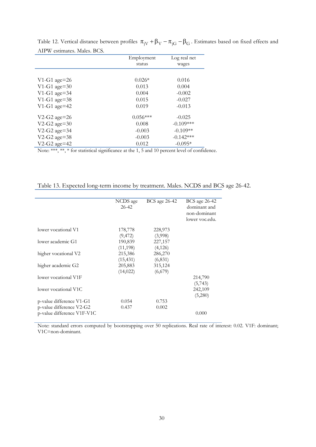|                 | Employment<br>status | Log real net<br>wages |
|-----------------|----------------------|-----------------------|
|                 |                      |                       |
| $V1-G1$ age=26  | $0.026*$             | 0.016                 |
| $V1-G1$ age=30  | 0.013                | 0.004                 |
| $V1-G1$ age=34  | 0.004                | $-0.002$              |
| $V1-G1$ age=38  | 0.015                | $-0.027$              |
| $V1-G1$ age=42  | 0.019                | $-0.013$              |
| $V2-G2$ age=26  | $0.056***$           | $-0.025$              |
| $V2-G2$ age=30  | 0.008                | $-0.109***$           |
| $V2-G2$ age=34  | $-0.003$             | $-0.109**$            |
| V2-G2 age= $38$ | $-0.003$             | $-0.142***$           |
| $V2-G2$ age=42  | 0.012                | $-0.095*$             |

Table 12. Vertical distance between profiles  $\pi_{jV} + \beta_V - \pi_{jG} - \beta_G$ . Estimates based on fixed effects and AIPW estimates. Males. BCS.

Note: \*\*\*, \*\*, \* for statistical significance at the 1, 5 and 10 percent level of confidence.

|                            | NCDS age<br>26-42    | <b>BCS</b> age 26-42 | BCS age 26-42<br>dominant and<br>non-dominant<br>lower voc.edu. |
|----------------------------|----------------------|----------------------|-----------------------------------------------------------------|
| lower vocational V1        | 178,778<br>(9, 472)  | 228,973<br>(3,998)   |                                                                 |
| lower academic G1          | 190,839<br>(11, 198) | 227,157<br>(4,126)   |                                                                 |
| higher vocational V2       | 215,386<br>(15, 431) | 286,270<br>(6, 831)  |                                                                 |
| higher academic G2         | 205,883<br>(14, 022) | 315,124<br>(6,679)   |                                                                 |
| lower vocational V1F       |                      |                      | 214,790<br>(5,743)                                              |
| lower vocational V1C       |                      |                      | 242,109<br>(5,280)                                              |
| p-value difference V1-G1   | 0.054                | 0.753                |                                                                 |
| p-value difference V2-G2   | 0.437                | 0.002                |                                                                 |
| p-value difference V1F-V1C |                      |                      | 0.000                                                           |

Table 13. Expected long-term income by treatment. Males. NCDS and BCS age 26-42.

Note: standard errors computed by bootstrapping over 50 replications. Real rate of interest: 0.02. V1F: dominant; V1C=non-dominant.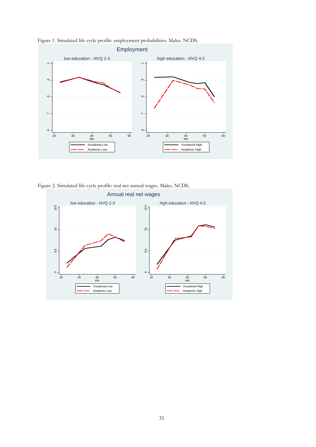

Figure 1. Simulated life cycle profile: employment probabilities. Males. NCDS.

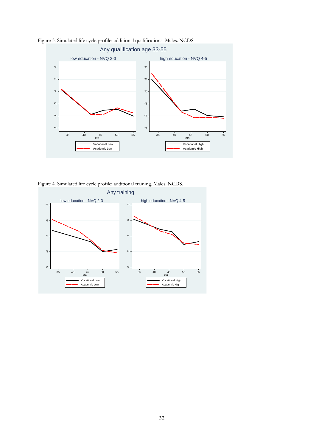

Figure 3. Simulated life cycle profile: additional qualifications. Males. NCDS.

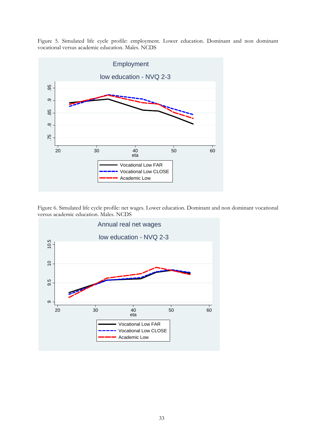Figure 5. Simulated life cycle profile: employment. Lower education. Dominant and non dominant vocational versus academic education. Males. NCDS



Figure 6. Simulated life cycle profile: net wages. Lower education. Dominant and non dominant vocational

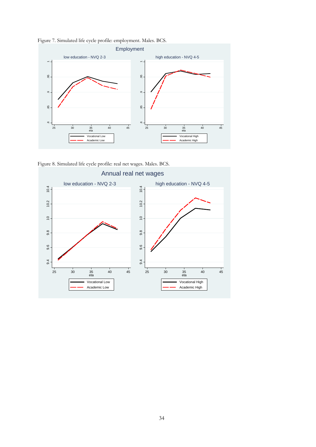



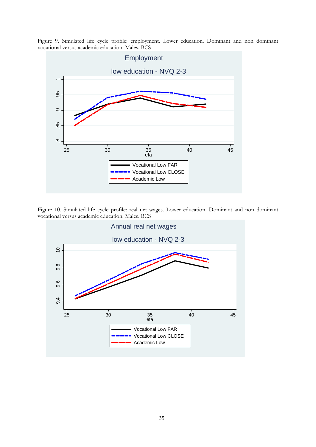Figure 9. Simulated life cycle profile: employment. Lower education. Dominant and non dominant vocational versus academic education. Males. BCS



Figure 10. Simulated life cycle profile: real net wages. Lower education. Dominant and non dominant

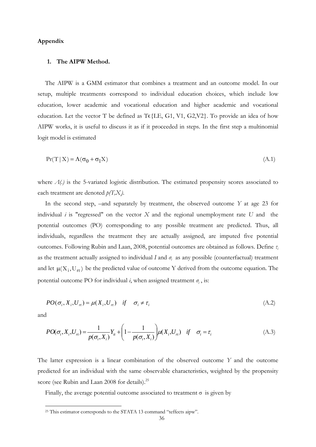#### **Appendix**

#### **1. The AIPW Method.**

The AIPW is a GMM estimator that combines a treatment and an outcome model. In our setup, multiple treatments correspond to individual education choices, which include low education, lower academic and vocational education and higher academic and vocational education. Let the vector T be defined as T $\epsilon$ {LE, G1, V1, G2, V2}. To provide an idea of how AIPW works, it is useful to discuss it as if it proceeded in steps. In the first step a multinomial logit model is estimated

$$
Pr(T | X) = \Lambda(\sigma_0 + \sigma_1 X) \tag{A.1}
$$

where *Λ(.)* is the 5-variated logistic distribution. The estimated propensity scores associated to each treatment are denoted  $p(T,X_i)$ .

In the second step, –and separately by treatment, the observed outcome *Y* at age 23 for individual *i* is "regressed" on the vector *X* and the regional unemployment rate *U* and the potential outcomes (PO) corresponding to any possible treatment are predicted. Thus, all individuals, regardless the treatment they are actually assigned, are imputed five potential outcomes. Following Rubin and Laan, 2008, potential outcomes are obtained as follows. Define *τ<sup>i</sup>* as the treatment actually assigned to individual  $I$  and  $\sigma$ <sup>*i*</sup> as any possible (counterfactual) treatment and let  $\mu(X_i, U_{rt})$  be the predicted value of outcome Y derived from the outcome equation. The potential outcome PO for individual  $i$ , when assigned treatment  $\sigma_i$ , is:

$$
PO(\sigma_i, X_i, U_n) = \mu(X_i, U_n) \quad \text{if} \quad \sigma_i \neq \tau_i \tag{A.2}
$$

and

<u>.</u>

$$
PO(\sigma_i, X_i, U_n) = \frac{1}{p(\sigma_i, X_i)} Y_{ii} + \left(1 - \frac{1}{p(\sigma_i, X_i)}\right) \mu(X_i, U_n) \quad \text{if} \quad \sigma_i = \tau_i
$$
\n(A.3)

The latter expression is a linear combination of the observed outcome *Y* and the outcome predicted for an individual with the same observable characteristics, weighted by the propensity score (see Rubin and Laan 2008 for details).<sup>25</sup>

Finally, the average potential outcome associated to treatment  $\sigma$  is given by

<sup>&</sup>lt;sup>25</sup> This estimator corresponds to the STATA 13 command "teffects aipw".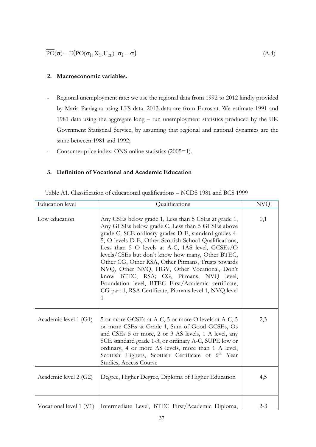$$
\overline{\text{PO}}(\sigma) = E(\text{PO}(\sigma_i, X_i, U_{rt}) | \sigma_i = \sigma)
$$
\n(A.4)

#### **2. Macroeconomic variables.**

- Regional unemployment rate: we use the regional data from 1992 to 2012 kindly provided by Maria Paniagua using LFS data. 2013 data are from Eurostat. We estimate 1991 and 1981 data using the aggregate long – run unemployment statistics produced by the UK Govrnment Statistical Service, by assuming that regional and national dynamics are the same between 1981 and 1992;
- Consumer price index: ONS online statistics (2005=1).

### **3. Definition of Vocational and Academic Education**

| <b>Education</b> level  | Qualifications                                                                                                                                                                                                                                                                                                                                                                                                                                                                                                                                                                                          | <b>NVQ</b> |
|-------------------------|---------------------------------------------------------------------------------------------------------------------------------------------------------------------------------------------------------------------------------------------------------------------------------------------------------------------------------------------------------------------------------------------------------------------------------------------------------------------------------------------------------------------------------------------------------------------------------------------------------|------------|
| Low education           | Any CSEs below grade 1, Less than 5 CSEs at grade 1,<br>Any GCSEs below grade C, Less than 5 GCSEs above<br>grade C, SCE ordinary grades D-E, standard grades 4-<br>5, O levels D-E, Other Scottish School Qualifications,<br>Less than 5 O levels at A-C, 1AS level, GCSEs/O<br>levels/CSEs but don't know how many, Other BTEC,<br>Other CG, Other RSA, Other Pitmans, Trusts towards<br>NVQ, Other NVQ, HGV, Other Vocational, Don't<br>know BTEC, RSA; CG, Pitmans, NVQ level,<br>Foundation level, BTEC First/Academic certificate,<br>CG part 1, RSA Certificate, Pitmans level 1, NVQ level<br>1 | 0,1        |
| Academic level 1 (G1)   | 5 or more GCSEs at A-C, 5 or more O levels at A-C, 5<br>or more CSEs at Grade 1, Sum of Good GCSEs, Os<br>and CSEs 5 or more, 2 or 3 AS levels, 1 A level, any<br>SCE standard grade 1-3, or ordinary A-C, SUPE low or<br>ordinary, 4 or more AS levels, more than 1 A level,<br>Scottish Highers, Scottish Certificate of 6 <sup>th</sup> Year<br>Studies, Access Course                                                                                                                                                                                                                               | 2,3        |
| Academic level 2 (G2)   | Degree, Higher Degree, Diploma of Higher Education                                                                                                                                                                                                                                                                                                                                                                                                                                                                                                                                                      | 4,5        |
| Vocational level 1 (V1) | Intermediate Level, BTEC First/Academic Diploma,                                                                                                                                                                                                                                                                                                                                                                                                                                                                                                                                                        | $2 - 3$    |

Table A1. Classification of educational qualifications – NCDS 1981 and BCS 1999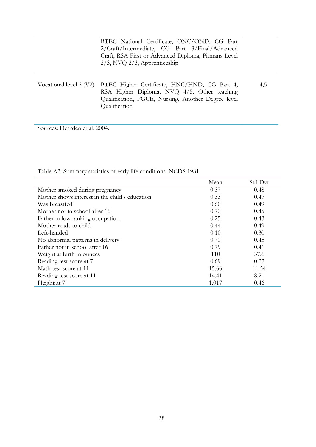|                         | BTEC National Certificate, ONC/OND, CG Part<br>2/Craft/Intermediate, CG Part 3/Final/Advanced<br>Craft, RSA First or Advanced Diploma, Pitmans Level<br>$2/3$ , NVQ $2/3$ , Apprenticeship |     |
|-------------------------|--------------------------------------------------------------------------------------------------------------------------------------------------------------------------------------------|-----|
| Vocational level 2 (V2) | BTEC Higher Certificate, HNC/HND, CG Part 4,<br>RSA Higher Diploma, NVQ 4/5, Other teaching<br>Qualification, PGCE, Nursing, Another Degree level<br>Qualification                         | 4.5 |

Sources: Dearden et al, 2004.

Table A2. Summary statistics of early life conditions. NCDS 1981.

|                                                | Mean  | Std Dvt |
|------------------------------------------------|-------|---------|
| Mother smoked during pregnancy                 | 0.37  | 0.48    |
| Mother shows interest in the child's education | 0.33  | 0.47    |
| Was breastfed                                  | 0.60  | 0.49    |
| Mother not in school after 16                  | 0.70  | 0.45    |
| Father in low ranking occupation               | 0.25  | 0.43    |
| Mother reads to child                          | 0.44  | 0.49    |
| Left-handed                                    | 0.10  | 0.30    |
| No abnormal patterns in delivery               | 0.70  | 0.45    |
| Father not in school after 16                  | 0.79  | 0.41    |
| Weight at birth in ounces                      | 110   | 37.6    |
| Reading test score at 7                        | 0.69  | 0.32    |
| Math test score at 11                          | 15.66 | 11.54   |
| Reading test score at 11                       | 14.41 | 8.21    |
| Height at 7                                    | 1.017 | 0.46    |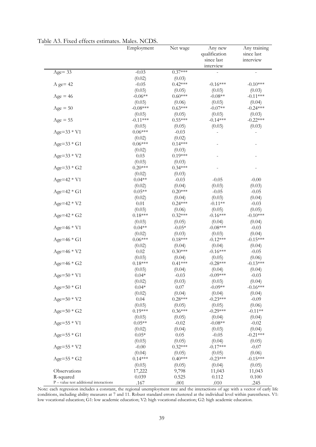|                                          | Employment | Net wage  | Any new<br>qualification<br>since last | Any training<br>since last<br>interview |
|------------------------------------------|------------|-----------|----------------------------------------|-----------------------------------------|
|                                          |            |           | interview                              |                                         |
| $Age = 33$                               | $-0.03$    | $0.37***$ |                                        |                                         |
|                                          | (0.02)     | (0.03)    |                                        |                                         |
| $A$ ge= 42                               | $-0.05$    | $0.42***$ | $-0.16***$                             | $-0.10***$                              |
|                                          | (0.03)     | (0.05)    | (0.03)                                 | (0.03)                                  |
| $Age = 46$                               | $-0.06**$  | $0.60***$ | $-0.08**$                              | $-0.11***$                              |
|                                          | (0.03)     | (0.06)    | (0.03)                                 | (0.04)                                  |
| $Age = 50$                               | $-0.08***$ | $0.63***$ | $-0.07**$                              | $-0.24***$                              |
|                                          | (0.03)     | (0.05)    | (0.03)                                 | (0.03)                                  |
| $Age = 55$                               | $-0.11***$ | $0.55***$ | $-0.14***$                             | $-0.22***$                              |
|                                          | (0.03)     | (0.05)    | (0.03)                                 | (0.03)                                  |
| $Age = 33 * V1$                          | $0.06***$  | $-0.03$   |                                        |                                         |
|                                          | (0.02)     | (0.02)    |                                        |                                         |
| Age= $33 * G1$                           | $0.06***$  | $0.14***$ |                                        |                                         |
|                                          | (0.02)     | (0.03)    |                                        |                                         |
| $Age = 33 * V2$                          | 0.03       | $0.19***$ |                                        |                                         |
|                                          | (0.03)     | (0.03)    |                                        |                                         |
| $Age = 33 * G2$                          | $0.20***$  | $0.34***$ |                                        |                                         |
|                                          | (0.02)     | (0.03)    |                                        |                                         |
| $Age = 42 * V1$                          | $0.04**$   | $-0.03$   | $-0.05$                                | $-0.00$                                 |
|                                          | (0.02)     | (0.04)    | (0.03)                                 | (0.03)                                  |
| $Age=42 * G1$                            | $0.05**$   | $0.20***$ | $-0.05$                                | $-0.05$                                 |
|                                          | (0.02)     | (0.04)    | (0.03)                                 | (0.04)                                  |
| $Age = 42 * V2$                          | 0.01       | $0.24***$ | $-0.11**$                              | $-0.03$                                 |
|                                          | (0.03)     | (0.06)    | (0.05)                                 | (0.05)                                  |
| Age= $42 * G2$                           | $0.18***$  | $0.32***$ | $-0.16***$                             | $-0.10***$                              |
|                                          | (0.03)     | (0.05)    | (0.04)                                 | (0.04)                                  |
| Age=46 * V1                              | $0.04**$   | $-0.05*$  | $-0.08***$                             | $-0.03$                                 |
|                                          | (0.02)     | (0.03)    | (0.03)                                 | (0.04)                                  |
| Age=46 * G1                              | $0.06***$  | $0.18***$ | $-0.12***$                             | $-0.15***$                              |
|                                          | (0.02)     | (0.04)    | (0.04)                                 | (0.04)                                  |
| Age= $46 * V2$                           | 0.02       | $0.30***$ | $-0.16***$                             | $-0.05$                                 |
|                                          | (0.03)     | (0.04)    | (0.05)                                 | (0.06)                                  |
| Age= $46 * G2$                           | $0.18***$  | $0.41***$ | $-0.28***$                             | $-0.13***$                              |
|                                          | (0.03)     | (0.04)    | (0.04)                                 | (0.04)                                  |
| $Age = 50 * V1$                          | $0.04*$    | $-0.03$   | $-0.09***$                             | $-0.03$                                 |
|                                          | (0.02)     | (0.03)    | (0.03)                                 | (0.04)                                  |
| Age= $50 * G1$                           | $0.04*$    | 0.07      | $-0.09**$                              | $-0.16***$                              |
|                                          | (0.02)     | (0.04)    | (0.04)                                 | (0.04)                                  |
| $Age = 50 * V2$                          | 0.04       | $0.28***$ | $-0.23***$                             | $-0.09$                                 |
|                                          | (0.03)     | (0.05)    | (0.05)                                 | (0.06)                                  |
| Age= $50 * G2$                           | $0.19***$  | $0.36***$ | $-0.29***$                             | $-0.11**$                               |
|                                          | (0.03)     | (0.05)    | (0.04)                                 | (0.04)                                  |
| $Age = 55 * V1$                          | $0.05**$   | $-0.02$   | $-0.08**$                              | $-0.02$                                 |
|                                          | (0.02)     | (0.04)    | (0.03)                                 | (0.04)                                  |
| Age= $55 * G1$                           | $0.05*$    | 0.05      | $-0.05$                                | $-0.21***$                              |
|                                          | (0.03)     | (0.05)    | (0.04)                                 | (0.05)                                  |
| $Age = 55 * V2$                          | $-0.00$    | $0.32***$ | $-0.17***$                             | $-0.07$                                 |
|                                          | (0.04)     | (0.05)    | (0.05)                                 | (0.06)                                  |
| Age= $55 * G2$                           | $0.14***$  | $0.40***$ | $-0.23***$                             | $-0.15***$                              |
|                                          | (0.03)     | (0.05)    | (0.04)                                 | (0.05)                                  |
| Observations                             | 17,222     | 9,798     | 11,043                                 | 11,043                                  |
| R-squared                                | 0.039      | 0.525     | 0.112                                  | 0.100                                   |
| $P$ – value test additional interactions | .167       | .001      | .010                                   | .245                                    |

Table A3. Fixed effects estimates. Males. NCDS.

Note: each regression includes a constant, the regional unemployment rate and the interactions of age with a vector of early life conditions, including ability measures at 7 and 11. Robust standard errors clustered at the individual level within parentheses. V1: low vocational education; G1: low academic education; V2: high vocational education; G2: high academic education.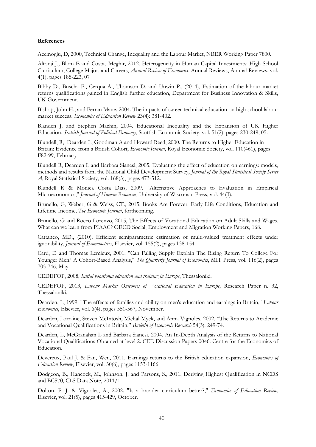#### **References**

Acemoglu, D, 2000, Technical Change, Inequality and the Labour Market, NBER Working Paper 7800.

Altonji J., Blom E and Costas Meghir, 2012. Heterogeneity in Human Capital Investments: High School Curriculum, College Major, and Careers, *Annual Review of Economics*, Annual Reviews, Annual Reviews, vol. 4(1), pages 185-223, 07

Bibby D., Buscha F., Cerqua A., Thomson D. and Unwin P., (2014), Estimation of the labour market returns qualifications gained in English further education, Department for Business Innovation & Skills, UK Government.

Bishop, John H., and Ferran Mane. 2004. The impacts of career-technical education on high school labour market success. *Economics of Education Review* 23(4): 381-402.

Blanden J. and Stephen Machin, 2004. Educational Inequality and the Expansion of UK Higher Education, *Scottish Journal of Political Economy*, Scottish Economic Society, vol. 51(2), pages 230-249, 05.

Blundell, R, Dearden L, Goodman A and Howard Reed, 2000. The Returns to Higher Education in Britain: Evidence from a British Cohort, *Economic Journal*, Royal Economic Society, vol. 110(461), pages F82-99, February

Blundell R, Dearden L and Barbara Sianesi, 2005. Evaluating the effect of education on earnings: models, methods and results from the National Child Development Survey, *Journal of the Royal Statistical Society Series A*, Royal Statistical Society, vol. 168(3), pages 473-512.

Blundell R & Monica Costa Dias, 2009. "Alternative Approaches to Evaluation in Empirical Microeconomics," *Journal of Human Resources,* University of Wisconsin Press, vol. 44(3).

Brunello, G, Weber, G & Weiss, CT., 2015. Books Are Forever: Early Life Conditions, Education and Lifetime Income, *The Economic Journal*, forthcoming.

Brunello, G and Rocco Lorenzo, 2015, The Effects of Vocational Education on Adult Skills and Wages. What can we learn from PIAAC? OECD Social, Employment and Migration Working Papers, 168.

Cattaneo, MD., (2010). Efficient semiparametric estimation of multi-valued treatment effects under ignorability, *Journal of Econometrics*, Elsevier, vol. 155(2), pages 138-154.

Card, D and Thomas Lemieux, 2001. "Can Falling Supply Explain The Rising Return To College For Younger Men? A Cohort-Based Analysis," *The Quarterly Journal of Economics*, MIT Press, vol. 116(2), pages 705-746, May.

CEDEFOP, 2008, *Initial vocational education and training in Europe*, Thessaloniki.

CEDEFOP, 2013, *Labour Market Outcomes of Vocational Education in Europe*, Research Paper n. 32, Thessaloniki.

Dearden, L, 1999. "The effects of families and ability on men's education and earnings in Britain," *Labour Economics*, Elsevier, vol. 6(4), pages 551-567, November.

Dearden, Lorraine, Steven McIntosh, Michal Myck, and Anna Vignoles. 2002. "The Returns to Academic and Vocational Qualifications in Britain." *Bulletin of Economic Research* 54(3): 249-74.

Dearden, L, McGranahan L and Barbara Sianesi. 2004. An In-Depth Analysis of the Returns to National Vocational Qualifications Obtained at level 2. CEE Discussion Papers 0046. Centre for the Economics of Education.

Devereux, Paul J. & Fan, Wen, 2011. Earnings returns to the British education expansion, *Economics of Education Review*, Elsevier, vol. 30(6), pages 1153-1166

Dodgeon, B., Hancock, M., Johnson, J. and Parsons, S., 2011, Deriving Highest Qualification in NCDS and BCS70, CLS Data Note, 2011/1

Dolton, P. J. & Vignoles, A., 2002. "Is a broader curriculum better?," *Economics of Education Review*, Elsevier, vol. 21(5), pages 415-429, October.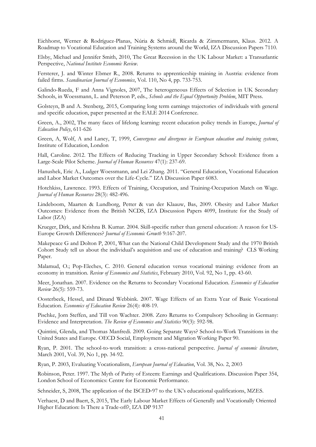Eichhorst, Werner & Rodríguez-Planas, Núria & Schmidl, Ricarda & Zimmermann, Klaus. 2012. A Roadmap to Vocational Education and Training Systems around the World, IZA Discussion Papers 7110.

Elsby, Michael and Jennifer Smith, 2010, The Great Recession in the UK Labour Market: a Transatlantic Perspective, *National Institute Economic Review*.

Fersterer, J. and Winter Ebmer R., 2008. Returns to apprenticeship training in Austria: evidence from failed firms. *Scandinavian Journal of Economics*, Vol. 110, No 4, pp. 733-753.

Galindo-Rueda, F and Anna Vignoles, 2007, The heterogeneous Effects of Selection in UK Secondary Schools, in Woessmann, L. and Peterson P, eds., *Schools and the Equal Opportunity Problem*, MIT Press.

Golsteyn, B and A. Stenberg, 2015, Comparing long term earnings trajectories of individuals with general and specific education, paper presented at the EALE 2014 Conference.

Green, A., 2002, The many faces of lifelong learning: recent education policy trends in Europe, *Journal of Education Policy*, 611-626

Green, A, Wolf, A and Laney, T, 1999, *Convergence and divergence in European education and training systems*, Institute of Education, London

Hall, Caroline. 2012. The Effects of Reducing Tracking in Upper Secondary School: Evidence from a Large-Scale Pilot Scheme. *Journal of Human Resources* 47(1): 237-69.

Hanushek, Eric A., Ludger Woessmann, and Lei Zhang. 2011. "General Education, Vocational Education and Labor Market Outcomes over the Life-Cycle." IZA Discussion Paper 6083.

Hotchkiss, Lawrence. 1993. Effects of Training, Occupation, and Training-Occupation Match on Wage. *Journal of Human Resources* 28(3): 482-496.

Lindeboom, Maarten & Lundborg, Petter & van der Klaauw, Bas, 2009. Obesity and Labor Market Outcomes: Evidence from the British NCDS, IZA Discussion Papers 4099, Institute for the Study of Labor (IZA)

Krueger, Dirk, and Krishna B. Kumar. 2004. Skill-specific rather than general education: A reason for US-Europe Growth Differences? *Journal of Economic Growth* 9:167-207.

Makepeace G and Dolton P, 2001, What can the National Child Development Study and the 1970 British Cohort Study tell us about the individual's acquisition and use of education and training? CLS Working Paper.

Malamud, O.; Pop-Eleches, C. 2010. General education versus vocational training: evidence from an economy in transition. *Review of Economics and Statistics*, February 2010, Vol. 92, No 1, pp. 43-60.

Meer, Jonathan. 2007. Evidence on the Returns to Secondary Vocational Education. *Economics of Education Review* 26(5): 559-73.

Oosterbeek, Hessel, and Dinand Webbink. 2007. Wage Effects of an Extra Year of Basic Vocational Education. *Economics of Education Review* 26(4): 408-19.

Pischke, Jorn Steffen, and Till von Wachter. 2008. Zero Returns to Compulsory Schooling in Germany: Evidence and Interpretation. *The Review of Economics and Statistics* 90(3): 592-98.

Quintini, Glenda, and Thomas Manfredi. 2009. Going Separate Ways? School-to-Work Transitions in the United States and Europe. OECD Social, Employment and Migration Working Paper 90.

Ryan, P. 2001. The school-to-work transition: a cross-national perspective. *Journal of economic literature*, March 2001, Vol. 39, No 1, pp. 34-92.

Ryan, P. 2003, Evaluating Vocationalism, *European Journal of Education*, Vol. 38, No. 2, 2003

Robinson, Peter. 1997. The Myth of Parity of Esteem: Earnings and Qualifications. Discussion Paper 354, London School of Economics: Centre for Economic Performance.

Schneider, S, 2008, The application of the ISCED-97 to the UK's educational qualifications, MZES.

Verhaest, D and Baert, S, 2015, The Early Labour Market Effects of Generally and Vocationally Oriented Higher Education: Is There a Trade-off?, IZA DP 9137